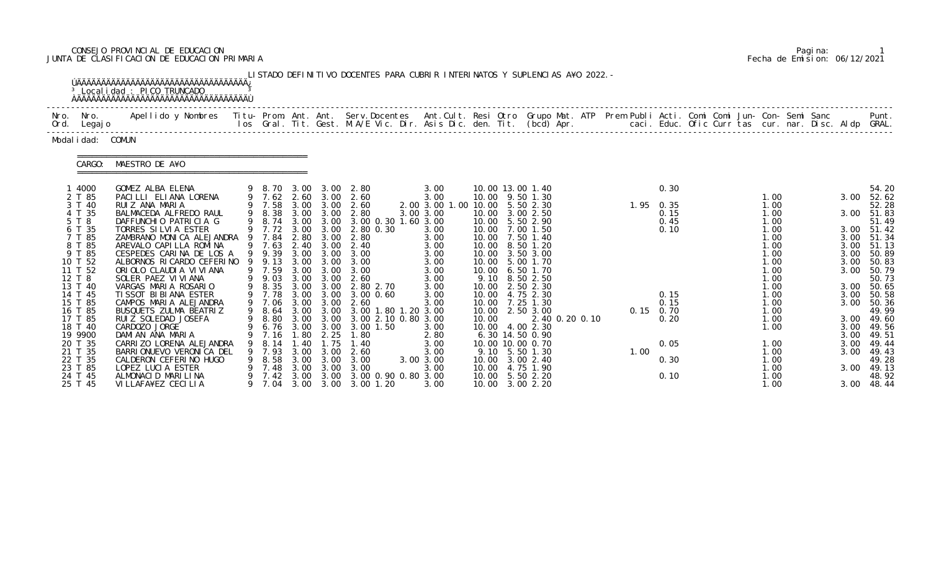# CONSEJO PROVINCIAL DE EDUCACION Pagina: 1 JUNTA DE CLASIFICACION DE EDUCACION PRIMARIA Fecha de Emision: 06/12/2021

|      |                                                                                                                                             | <sup>3</sup> Localidad : PICO TRUNCADO                                                                                                                                                                                                                                                                                          |                                                                                      |                                                    |                                                                   | LISTADO DEFINITIVO DOCENTES PARA CUBRIR INTERINATOS Y SUPLENCIAS A¥O 2022. -                                                                                                                                                                  |                                                                                                                     |       |                                                                                                                                                                                                                                                    |      |                                                                   |  |                                                                                              |  |                                      |                                                                                                                                            |
|------|---------------------------------------------------------------------------------------------------------------------------------------------|---------------------------------------------------------------------------------------------------------------------------------------------------------------------------------------------------------------------------------------------------------------------------------------------------------------------------------|--------------------------------------------------------------------------------------|----------------------------------------------------|-------------------------------------------------------------------|-----------------------------------------------------------------------------------------------------------------------------------------------------------------------------------------------------------------------------------------------|---------------------------------------------------------------------------------------------------------------------|-------|----------------------------------------------------------------------------------------------------------------------------------------------------------------------------------------------------------------------------------------------------|------|-------------------------------------------------------------------|--|----------------------------------------------------------------------------------------------|--|--------------------------------------|--------------------------------------------------------------------------------------------------------------------------------------------|
| Nro. | Nro.<br>Ord. Legajo                                                                                                                         | Apellido y Nombres Titu- Prom. Ant. Ant. Serv.Docentes Ant.Cult. Resi Otro Grupo Mat. ATP Prem Publi Acti. Comi Comi Jun- Con- Semi Sanc                                                                                                                                                                                        |                                                                                      |                                                    |                                                                   | los Gral. Tit. Gest. M.A/E Vic. Dir. Asis Dic. den. Tit. (bcd) Apr.       caci. Educ. Ofic Curr tas cur. nar. Disc. Aldp GRAL.                                                                                                                |                                                                                                                     |       |                                                                                                                                                                                                                                                    |      |                                                                   |  |                                                                                              |  |                                      | Punt.                                                                                                                                      |
|      | Modal i dad: COMUN                                                                                                                          |                                                                                                                                                                                                                                                                                                                                 |                                                                                      |                                                    |                                                                   |                                                                                                                                                                                                                                               |                                                                                                                     |       |                                                                                                                                                                                                                                                    |      |                                                                   |  |                                                                                              |  |                                      |                                                                                                                                            |
|      | CARGO:                                                                                                                                      | MAESTRO DE A¥O                                                                                                                                                                                                                                                                                                                  |                                                                                      |                                                    |                                                                   |                                                                                                                                                                                                                                               |                                                                                                                     |       |                                                                                                                                                                                                                                                    |      |                                                                   |  |                                                                                              |  |                                      |                                                                                                                                            |
|      | 1 4000<br>2 T 85<br>3 T 40<br>4 T 35<br>5 T 8<br>6 T 35<br>7 T 85<br>8 T 85<br>9 T 85<br>10 T 52<br>11 T 52<br>12 T 8                       | GOMEZ ALBA ELENA<br>PACILLI ELIANA LORENA<br>RUIZ ANA MARIA<br>BALMACEDA ALFREDO RAUL<br>DAFFUNCHIO PATRICIA G<br>TORRES SILVIA ESTER<br>ZAMBRANO MONICA ALEJANDRA 9 7.84 2.80 3.00<br>AREVALO CAPILLA ROMINA<br>CESPEDES CARINA DE LOS A<br>ALBORNOS RICARDO CEFERINO 9 9.13<br>ORIOLO CLAUDIA VIVIANA<br>SOLER PAEZ VI VI ANA | 9 8.74<br>9 7.63<br>9 9.39<br>9 7.59<br>9 9.03                                       | 2.40<br>3.00                                       | 3.00<br>3.00 3.00<br>3.00<br>$3.00 \quad 3.00$                    | 9 8.70 3.00 3.00 2.80<br>9 7.62 2.60 3.00 2.60<br>9 7.58 3.00 3.00 2.60<br>9 8.38 3.00 3.00 2.80<br>3.00 3.00 3.00 0.30 1.60 3.00<br>9 7.72 3.00 3.00 2.80 0.30<br>2.80<br>2.40<br>3.00<br>3.00 3.00 3.00<br>3.00<br>2.60                     | 3.00<br>3.00<br>2.00 3.00 1.00 10.00 5.50 2.30<br>3.00 3.00<br>3.00<br>3.00<br>3.00<br>3.00<br>3.00<br>3.00<br>3.00 |       | 10.00 13.00 1.40<br>10.00 9.50 1.30<br>10.00 3.00 2.50<br>10.00 5.50 2.90<br>10.00 7.00 1.50<br>10.00 7.50 1.40<br>10.00 8.50 1.20<br>10.00 3.50 3.00<br>10.00 5.00 1.70<br>10.00 6.50 1.70<br>9.10 8.50 2.50                                      |      | 0.30<br>1.95 0.35<br>0.15<br>0.45<br>0.10                         |  | 1.00<br>1.00<br>1.00<br>1.00<br>1.00<br>1.00<br>1.00<br>1.00<br>1.00<br>1.00<br>1.00         |  | 3.00<br>3.00<br>3.00<br>3.00         | 54.20<br>3.00 52.62<br>52.28<br>3.00 51.83<br>51.49<br>3.00 51.42<br>3.00 51.34<br>51.13<br>50.89<br>50.83<br>50.79<br>50.73               |
|      | 13 T 40<br>14 T 45<br>15 T 85<br>16 T 85<br>17 T 85<br>18 T 40<br>19 9900<br>20 T 35<br>21 T 35<br>22 T 35<br>23 T 85<br>24 T 45<br>25 T 45 | VARGAS MARIA ROSARIO<br>TI SSOT BI BI ANA ESTER<br>CAMPOS MARIA ALEJANDRA<br>BUSQUETS ZULMA BEATRIZ<br>RUIZ SOLEDAD JOSEFA<br>CARDOZO JORGE<br>DAMIAN ANA MARIA<br>CARRIZO LORENA ALEJANDRA<br>BARRI ONUEVO VERONI CA DEL<br>CALDERON CEFERINO HUGO<br>LOPEZ LUCIA ESTER<br>ALMONACID MARILINA<br>VI LLAFA¥EZ CECI LI A         | 9 8.35<br>9 7.78<br>9 7.06<br>7. 16<br>8.14<br>7.93<br>8.58<br>7.48<br>7.42<br>7. 04 | . 80<br>40<br>3.00<br>3.00<br>3.00<br>3.00<br>3.00 | 3.00 3.00<br>2.25<br>. 75<br>3.00<br>3.00<br>3.00<br>3.00<br>3.00 | 3.00 3.00 2.80 2.70<br>3.00 0.60<br>3.00 3.00 2.60<br>9 8.64 3.00 3.00 3.00 1.80 1.20 3.00<br>9 8.80 3.00 3.00 3.00 2.10 0.80 3.00<br>9 6.76 3.00 3.00 3.00 1.50<br>1.80<br>1. 40<br>2.60<br>3.00<br>3.00<br>3.00 0.90 0.80 3.00<br>3.00 1.20 | 3.00<br>3.00<br>3.00<br>3.00<br>2.80<br>3.00<br>3.00<br>3.00 3.00<br>3.00<br>3.00                                   | 10.00 | 10.00 2.50 2.30<br>10.00 4.75 2.30<br>10.00 7.25 1.30<br>10.00 2.50 3.00<br>2.40 0.20 0.10<br>10.00 4.00 2.30<br>6.30 14.50 0.90<br>10.00 10.00 0.70<br>9.10 5.50 1.30<br>10.00 3.00 2.40<br>10.00 4.75 1.90<br>10.00 5.50 2.20<br>10.00 3.00 2.20 | 1.00 | 0.15<br>0.15<br>$0.15 \quad 0.70$<br>0.20<br>0.05<br>0.30<br>0.10 |  | 1.00<br>1.00<br>1.00<br>1.00<br>1.00<br>1.00<br>1.00<br>1.00<br>1.00<br>1.00<br>1.00<br>1.00 |  | 3.00<br>3.00<br>3.00<br>3.00<br>3.00 | 3.00 50.65<br>50.58<br>50.36<br>49.99<br>3.00 49.60<br>3.00 49.56<br>3.00 49.51<br>49.44<br>49.43<br>49.28<br>49.13<br>48.92<br>3.00 48.44 |

|  | Pagi na: |                              |
|--|----------|------------------------------|
|  |          | Fecha de Emision: 06/12/2021 |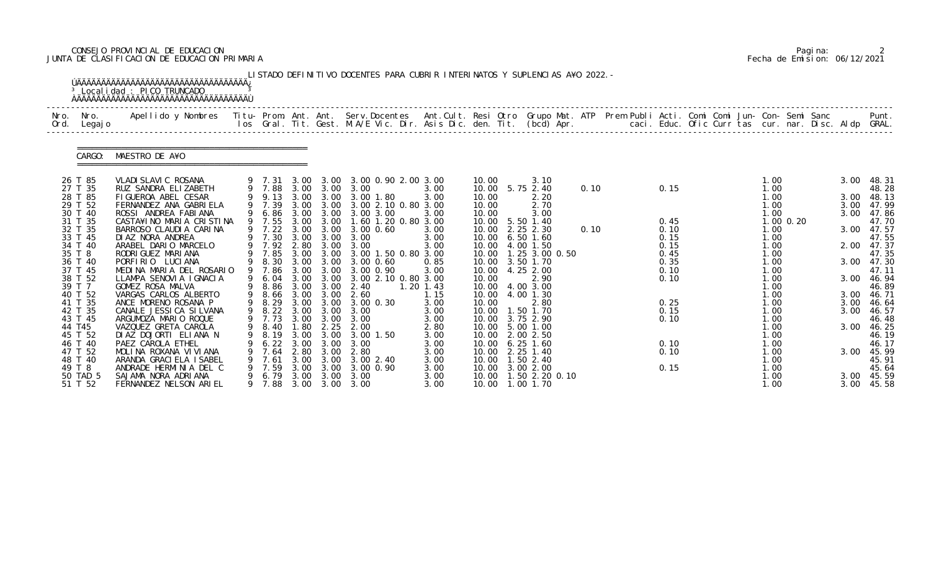### CONSEJO PROVINCIAL DE EDUCACION Pagina: 2 JUNTA DE CLASIFICACION DE EDUCACION PRIMARIA Fecha de Emision: 06/12/2021

|              |                    | <sup>3</sup> Localidad : PICO TRUNCADO                                                                                                         |                  |              |                        | LISTADO DEFINITIVO DOCENTES PARA CUBRIR INTERINATOS Y SUPLENCIAS A¥O 2022. -                                                   |                     |       |                                      |      |              |  |              |           |      |                     |
|--------------|--------------------|------------------------------------------------------------------------------------------------------------------------------------------------|------------------|--------------|------------------------|--------------------------------------------------------------------------------------------------------------------------------|---------------------|-------|--------------------------------------|------|--------------|--|--------------|-----------|------|---------------------|
| Nro.<br>Ord. | Nro.<br>Legaj o    | Apellido y Nombres - Titu- Prom. Ant. Ant. Serv.Docentes - Ant.Cult. Resi Otro Grupo Mat. ATP - Prem Publi Acti. Comi Comi Jun- Con- Semi Sanc |                  |              |                        | los Gral. Tit. Gest. M.A/E Vic. Dir. Asis Dic. den. Tit. (bcd) Apr.       caci. Educ. Ofic Curr tas cur. nar. Disc. Aldp GRAL. |                     |       |                                      |      |              |  |              |           |      | Punt.               |
|              | CARGO:             | MAESTRO DE A¥O                                                                                                                                 |                  |              |                        |                                                                                                                                |                     |       |                                      |      |              |  |              |           |      |                     |
|              | 26 T 85            | VLADI SLAVI C ROSANA                                                                                                                           |                  |              |                        | 9 7.31 3.00 3.00 3.00 0.90 2.00 3.00                                                                                           |                     | 10.00 | 3.10                                 |      |              |  | 1.00         |           | 3.00 | 48.31               |
|              | 27 T 35<br>28 T 85 | RUZ SANDRA ELIZABETH<br>FIGUEROA ABEL CESAR                                                                                                    | 9 7.88 3.00 3.00 |              |                        | 3.00<br>9 9.13 3.00 3.00 3.00 1.80                                                                                             | 3.00<br>3.00        | 10.00 | 10.00 5.75 2.40<br>2.20              | 0.10 | 0.15         |  | 1.00<br>1.00 |           | 3.00 | 48.28<br>48.13      |
|              | 29 T 52            | FERNANDEZ ANA GABRIELA                                                                                                                         | 9 7.39           |              |                        | 3.00 3.00 3.00 2.10 0.80 3.00                                                                                                  |                     | 10.00 | 2.70                                 |      |              |  | 1.00         |           |      | 3.00 47.99          |
|              | 30 T 40            | ROSSI ANDREA FABIANA                                                                                                                           | 9 6.86           |              |                        | 3.00 3.00 3.00 3.00                                                                                                            | 3.00                | 10.00 | 3.00                                 |      |              |  | 1.00         |           |      | 3.00 47.86          |
|              | 31 T 35            | CASTA¥INO MARIA CRISTINA                                                                                                                       | 9 7.55           | 3.00         | 3.00                   | 1.60 1.20 0.80 3.00                                                                                                            |                     |       | 10.00 5.50 1.40                      |      | 0.45         |  |              | 1.00 0.20 |      | 47.70               |
|              | 32 T 35            | BARROSO CLAUDIA CARINA<br>DI AZ NORA ANDREA                                                                                                    | 9 7.30 3.00 3.00 |              |                        | 9 7.22 3.00 3.00 3.00 0.60<br>3.00                                                                                             | 3.00                |       | 10.00 2.25 2.30                      | 0.10 | 0.10<br>0.15 |  | 1.00         |           |      | 3.00 47.57<br>47.55 |
|              | 33 T 45<br>34 T 40 | ARABEL DARIO MARCELO                                                                                                                           | 9 7.92 2.80      |              | 3.00                   | 3.00                                                                                                                           | 3.00<br>3.00        |       | 10.00 6.50 1.60<br>10.00 4.00 1.50   |      | 0.15         |  | 1.00<br>1.00 |           | 2.00 | 47.37               |
|              | 35 T 8             | RODRI GUEZ MARI ANA                                                                                                                            |                  |              |                        | 7.85 3.00 3.00 3.00 1.50 0.80 3.00                                                                                             |                     |       | 10.00  1.25  3.00  0.50              |      | 0.45         |  | 1.00         |           |      | 47.35               |
|              | 36 T 40            | PORFIRIO LUCIANA                                                                                                                               |                  |              |                        | 9 8.30 3.00 3.00 3.00 0.60                                                                                                     | 0.85                |       | 10.00 3.50 1.70                      |      | 0.35         |  | 1.00         |           |      | 3.00 47.30          |
|              | 37 T 45            | MEDINA MARIA DEL ROSARIO                                                                                                                       | 9 7.86           | 3.00         | 3.00                   | 3.00 0.90                                                                                                                      | 3.00                |       | 10.00 4.25 2.00                      |      | 0.10         |  | 1.00         |           |      | 47.11               |
|              | 38 T 52            | LLAMPA SENOVIA IGNACIA                                                                                                                         | 9 6.04           |              |                        | 3.00 3.00 3.00 2.10 0.80 3.00                                                                                                  |                     | 10.00 | 2.90                                 |      | 0.10         |  | 1.00         |           |      | 3.00 46.94          |
|              | 39 T 7<br>40 T 52  | GOMEZ ROSA MALVA<br>VARGAS CARLOS ALBERTO                                                                                                      | 8.86<br>9 8.66   |              | 3.00 3.00<br>3.00 3.00 | 2.40<br>2.60                                                                                                                   | $1.20$ 1.43<br>1.15 | 10.00 | 10.00 4.00 3.00<br>4.00 1.30         |      |              |  | 1.00<br>1.00 |           | 3.00 | 46.89<br>46. 71     |
|              | 41 T 35            | ANCE MORENO ROSANA P                                                                                                                           | 9 8.29           |              |                        | 3.00 3.00 3.00 0.30                                                                                                            | 3.00                | 10.00 | 2.80                                 |      | 0.25         |  | 1.00         |           | 3.00 | 46.64               |
|              | 42 T 35            | CANALE JESSI CA SI LVANA                                                                                                                       | 9 8.22 3.00 3.00 |              |                        | 3.00                                                                                                                           | 3.00                |       | 10.00  1.50  1.70                    |      | 0.15         |  | 1.00         |           | 3.00 | 46.57               |
|              | 43 T 45            | ARGUMOZA MARIO ROQUE                                                                                                                           | 9 7.73 3.00 3.00 |              |                        | 3.00                                                                                                                           | 3.00                |       | 10.00 3.75 2.90                      |      | 0.10         |  | 1.00         |           |      | 46.48               |
|              | 44 T45             | VAZQUEZ GRETA CAROLA                                                                                                                           | 9 8.40           |              |                        | 1.80 2.25 2.00                                                                                                                 | 2.80                |       | 10.00 5.00 1.00                      |      |              |  | 1.00         |           |      | 3.00 46.25          |
|              | 45 T 52            | DIAZ DOJORTI ELIANA N                                                                                                                          | 8.19             | 3.00         | 3.00                   | 3.00 1.50                                                                                                                      | 3.00                |       | 10.00 2.00 2.50                      |      |              |  | 1.00         |           |      | 46.19               |
|              | 46 T 40            | PAEZ CAROLA ETHEL                                                                                                                              | 6. 22            | 3.00         | 3.00                   | 3.00                                                                                                                           | 3.00                | 10.00 | $6.25$ 1.60                          |      | 0.10         |  | 1.00         |           |      | 46.17               |
|              | 47 T 52            | MOLINA ROXANA VIVIANA                                                                                                                          | 7.64             | 2.80<br>3.00 | 3.00<br>3.00           | 2.80                                                                                                                           | 3.00                |       | 10.00 2.25 1.40                      |      | 0.10         |  | 1.00         |           | 3.00 | 45.99               |
|              | 48 T 40<br>49 T 8  | ARANDA GRACIELA I SABEL<br>ANDRADE HERMINIA DEL C                                                                                              | 7.61<br>7.59     | 3.00         | 3.00                   | 3.00 2.40<br>3.00 0.90                                                                                                         | 3.00<br>3.00        |       | 10.00  1.50  2.40<br>10.00 3.00 2.00 |      | 0.15         |  | 1.00<br>1.00 |           |      | 45.91<br>45.64      |
|              | 50 TAD 5           | SAJAMA NORA ADRIANA                                                                                                                            | 6. 79            | 3.00         | 3.00                   | 3.00                                                                                                                           | 3.00                |       | 10.00  1.50  2.20  0.10              |      |              |  | 1.00         |           |      | 3.00 45.59          |
|              | 51 T 52            | FERNANDEZ NELSON ARIEL                                                                                                                         | 9 7.88           |              |                        | 3.00 3.00 3.00                                                                                                                 | 3.00                |       | 10.00  1.00  1.70                    |      |              |  | 1.00         |           |      | 3.00 45.58          |

|  | Pagi na: |                              |
|--|----------|------------------------------|
|  |          | Fecha de Emision: 06/12/2021 |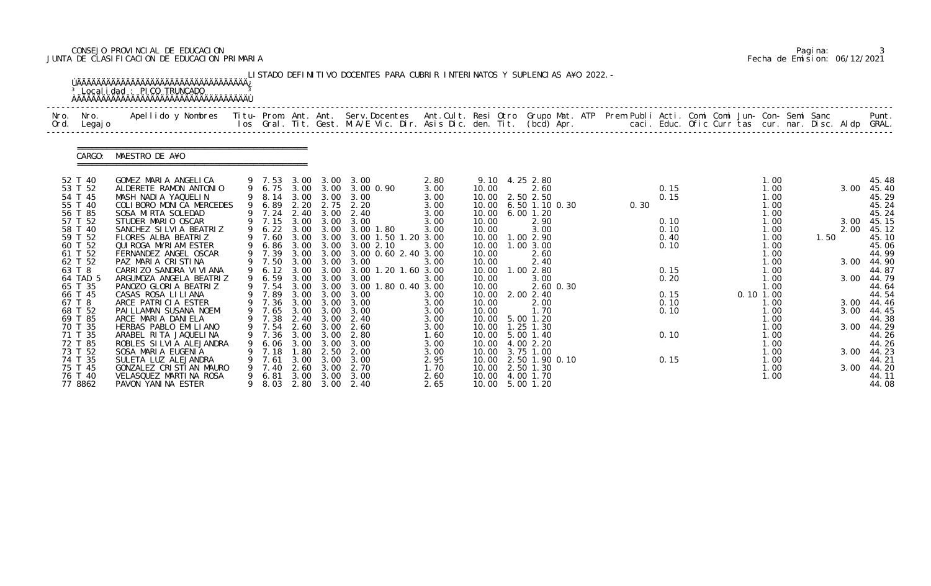### CONSEJO PROVINCIAL DE EDUCACION Pagina: 3 JUNTA DE CLASIFICACION DE EDUCACION PRIMARIA Fecha de Emision: 06/12/2021

|      |                                                                | <sup>3</sup> Localidad : PICO TRUNCADO<br><b>AAAAAAAAAAAAAAAAAAAAAAAAAAAAAAAAAAAA</b>                                                                                                                                             |                                               |                                      |                                      | LISTADO DEFINITIVO DOCENTES PARA CUBRIR INTERINATOS Y SUPLENCIAS A¥O 2022. -                                                                        |                                              |                                           |                                                                                                                     |      |                              |  |                                               |      |              |                                                     |
|------|----------------------------------------------------------------|-----------------------------------------------------------------------------------------------------------------------------------------------------------------------------------------------------------------------------------|-----------------------------------------------|--------------------------------------|--------------------------------------|-----------------------------------------------------------------------------------------------------------------------------------------------------|----------------------------------------------|-------------------------------------------|---------------------------------------------------------------------------------------------------------------------|------|------------------------------|--|-----------------------------------------------|------|--------------|-----------------------------------------------------|
| Nro. | Nro.<br>Ord. Legajo                                            | .Apellido y Nombres  Titu- Prom. Ant. Ant.  Serv.Docentes  Ant.Cult. Resi Otro  Grupo Mat. ATP  Prem Publi Acti. Comi Comi Jun- Con- Semi Sanc              Punt.<br>Ios Gral. Tit. Gest. M.A/E Vic. Dir. Asis Dic. den. Tit. (bc |                                               |                                      |                                      |                                                                                                                                                     |                                              |                                           |                                                                                                                     |      |                              |  |                                               |      |              |                                                     |
|      | CARGO:                                                         | MAESTRO DE A¥O                                                                                                                                                                                                                    |                                               |                                      |                                      |                                                                                                                                                     |                                              |                                           |                                                                                                                     |      |                              |  |                                               |      |              |                                                     |
|      | 52 T 40<br>53 T 52<br>54 T 45<br>55 T 40<br>56 T 85            | GOMEZ MARIA ANGELICA<br>ALDERETE RAMON ANTONIO<br>MASH NADIA YAQUELIN<br>COLIBORO MONICA MERCEDES<br>SOSA MIRTA SOLEDAD                                                                                                           | 9 6.89                                        |                                      |                                      | 9 7.53 3.00 3.00 3.00<br>9 6.75 3.00 3.00 3.00 0.90<br>9 8.14 3.00 3.00 3.00<br>2.20 2.75 2.20<br>9 7.24 2.40 3.00 2.40                             | 2.80<br>3.00<br>3.00<br>3.00<br>3.00         | 10.00                                     | 9.10 4.25 2.80<br>2.60<br>10.00 2.50 2.50<br>10.00 6.50 1.10 0.30<br>10.00 6.00 1.20                                | 0.30 | 0.15<br>0.15                 |  | 1.00<br>1.00<br>1.00<br>1.00<br>1.00          |      |              | 45.48<br>3.00 45.40<br>45.29<br>45.24<br>45.24      |
|      | 57 T 52<br>58 T 40<br>59 T 52<br>60 T 52<br>61 T 52            | STUDER MARIO OSCAR<br>SANCHEZ SILVIA BEATRIZ<br>FLORES ALBA BEATRIZ<br>QUIROGA MYRIAM ESTER<br>FERNANDEZ ANGEL OSCAR                                                                                                              | 9 7.60<br>9 7.39                              |                                      |                                      | 9 7.15 3.00 3.00 3.00<br>9 6.22 3.00 3.00 3.00 1.80<br>3.00 3.00 3.00 1.50 1.20 3.00<br>9 6.86 3.00 3.00 3.00 2.10<br>3.00 3.00 3.00 0.60 2.40 3.00 | 3.00<br>3.00<br>3.00                         | 10.00<br>10.00<br>10.00<br>10.00<br>10.00 | 2.90<br>3.00<br>1.00 2.90<br>$1.00$ $3.00$<br>2.60                                                                  |      | 0.10<br>0.10<br>0.40<br>0.10 |  | 1.00<br>1.00<br>1.00<br>1.00<br>1.00          | 1.50 | 2.00         | 3.00 45.15<br>45.12<br>45.10<br>45.06<br>44.99      |
|      | 62 T 52<br>63 T 8<br>64 TAD 5<br>65 T 35<br>66 T 45            | PAZ MARIA CRISTINA<br>CARRIZO SANDRA VI VI ANA<br>ARGUMOZA ANGELA BEATRIZ<br>PANOZO GLORIA BEATRIZ<br>CASAS ROSA LILIANA                                                                                                          | 9 7.50<br>9 6.59 3.00 3.00<br>9 7.54          |                                      | 3.00 3.00<br>3.00 3.00               | 3.00<br>9 6.12 3.00 3.00 3.00 1.20 1.60 3.00<br>3.00<br>3.00 1.80 0.40 3.00<br>9 7.89 3.00 3.00 3.00                                                | 3.00<br>3.00<br>3.00                         | 10.00<br>10.00<br>10.00                   | 2.40<br>10.00  1.00  2.80<br>3.00<br>2.60 0.30<br>10.00 2.00 2.40                                                   |      | 0.15<br>0.20<br>0.15         |  | 1.00<br>1.00<br>1.00<br>1.00<br>$0.10$ $1.00$ |      |              | 3.00 44.90<br>44.87<br>3.00 44.79<br>44.64<br>44.54 |
|      | 67 T 8<br>68 T 52<br>69 T 85<br>70 T 35<br>71 T 35             | ARCE PATRICIA ESTER<br>PAI LLAMAN SUSANA NOEMI<br>ARCE MARIA DANIELA<br>HERBAS PABLO EMILIANO<br>ARABEL RITA JAQUELINA                                                                                                            | 7.36                                          | 3.00                                 | 3.00                                 | 9 7.36 3.00 3.00 3.00<br>9 7.65 3.00 3.00 3.00<br>9 7.38 2.40 3.00 2.40<br>9 7.54 2.60 3.00 2.60<br>2.80                                            | 3.00<br>3.00<br>3.00<br>3.00<br>1.60         | 10.00<br>10.00                            | 2.00<br>1.70<br>10.00 5.00 1.20<br>10.00  1.25  1.30<br>10.00 5.00 1.40                                             |      | 0.10<br>0.10<br>0.10         |  | 1.00<br>1.00<br>1.00<br>1.00<br>1.00          |      | 3.00         | 3.00 44.46<br>44.45<br>44.38<br>3.00 44.29<br>44.26 |
|      | 72 T 85<br>73 T 52<br>74 T 35<br>75 T 45<br>76 T 40<br>77 8862 | ROBLES SILVIA ALEJANDRA<br>SOSA MARIA EUGENIA<br>SULETA LUZ ALEJANDRA<br>GONZALEZ CRISTIAN MAURO<br>VELASQUEZ MARTINA ROSA<br>PAVON YANINA ESTER                                                                                  | 6. 06<br>7.18<br>7.61<br>7.40<br>6.81<br>8.03 | 3.00<br>. 80<br>3.00<br>2.60<br>3.00 | 3.00<br>2.50<br>3.00<br>3.00<br>3.00 | 3.00<br>2.00<br>3.00<br>2.70<br>3.00<br>2.80 3.00 2.40                                                                                              | 3.00<br>3.00<br>2.95<br>1.70<br>2.60<br>2.65 |                                           | 10.00 4.00 2.20<br>10.00 3.75 1.00<br>10.00 2.50 1.90 0.10<br>10.00 2.50 1.30<br>10.00 4.00 1.70<br>10.00 5.00 1.20 |      | 0.15                         |  | 1.00<br>1.00<br>1.00<br>1.00<br>1.00          |      | 3.00<br>3.00 | 44.26<br>44.23<br>44.21<br>44.20<br>44.11<br>44.08  |

|  | Pagi na: |                              |
|--|----------|------------------------------|
|  |          | Fecha de Emision: 06/12/2021 |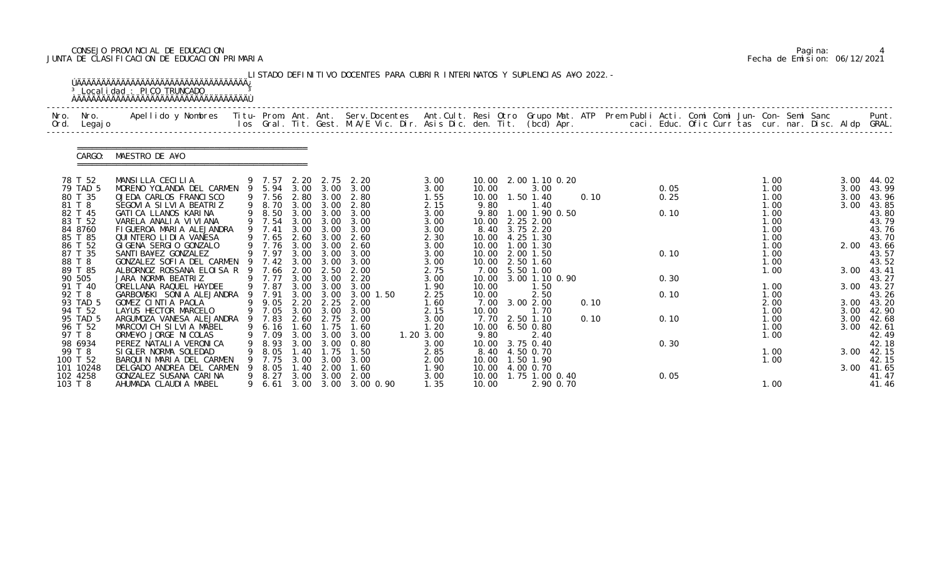### CONSEJO PROVINCIAL DE EDUCACION Pagina: 4 JUNTA DE CLASIFICACION DE EDUCACION PRIMARIA Fecha de Emision: 06/12/2021

|              |                                                                                                                      | <sup>3</sup> Local i dad : PICO TRUNCADO                                                                                                                                                                                                                                                               |          |                                                                                                |                                                      |                                                                                       | LISTADO DEFINITIVO DOCENTES PARA CUBRIR INTERINATOS Y SUPLENCIAS A¥O 2022. -                   |                                                                                      |                                                  |                                                                                                                                                                                |              |                              |  |                                                                                      |  |                                      |                                                                                                 |
|--------------|----------------------------------------------------------------------------------------------------------------------|--------------------------------------------------------------------------------------------------------------------------------------------------------------------------------------------------------------------------------------------------------------------------------------------------------|----------|------------------------------------------------------------------------------------------------|------------------------------------------------------|---------------------------------------------------------------------------------------|------------------------------------------------------------------------------------------------|--------------------------------------------------------------------------------------|--------------------------------------------------|--------------------------------------------------------------------------------------------------------------------------------------------------------------------------------|--------------|------------------------------|--|--------------------------------------------------------------------------------------|--|--------------------------------------|-------------------------------------------------------------------------------------------------|
| Nro.<br>Ord. | Nro.<br>Legaj o                                                                                                      | Apellido y Nombres - Titu- Prom. Ant. Ant. Serv.Docentes - Ant.Cult. Resi Otro Grupo Mat. ATP Prem Publi Acti. Comi Comi Jun- Con- Semi Sanc - - - Punt.<br>Ios Gral. Tit. Gest. M.A/E Vic. Dir. Asis Dic. den. Tit. (bcd) Apr. -                                                                      |          |                                                                                                |                                                      |                                                                                       |                                                                                                |                                                                                      |                                                  |                                                                                                                                                                                |              |                              |  |                                                                                      |  |                                      |                                                                                                 |
|              | CARGO:                                                                                                               | MAESTRO DE A¥O                                                                                                                                                                                                                                                                                         |          |                                                                                                |                                                      |                                                                                       |                                                                                                |                                                                                      |                                                  |                                                                                                                                                                                |              |                              |  |                                                                                      |  |                                      |                                                                                                 |
|              | 78 T 52<br>79 TAD 5<br>80 T 35<br>81 T 8<br>82 T 45<br>83 T 52<br>84 8760<br>85 T 85<br>86 T 52<br>87 T 35<br>88 T 8 | MANSILLA CECILIA<br>MORENO YOLANDA DEL CARMEN 9 5.94 3.00 3.00<br>OJEDA CARLOS FRANCISCO<br>SEGOVIA SILVIA BEATRIZ<br>GATICA LLANOS KARINA<br>VARELA ANALIA VIVIANA<br>FIGUEROA MARIA ALEJANDRA<br>QUINTERO LIDIA VANESA<br>GIGENA SERGIO GONZALO<br>SANTI BA¥EZ GONZALEZ<br>GONZALEZ SOFIA DEL CARMEN | 9        | 9 7.57<br>9 7.56<br>9 8.70<br>8.50<br>9 7.54<br>9 7.41<br>9 7.65<br>9 7.76<br>9 7.97<br>9 7.42 | 2.20<br>2.80<br>3.00<br>3.00<br>3.00<br>3.00<br>3.00 | 2.75<br>3.00<br>3.00<br>3.00<br>3.00<br>2.60 3.00<br>3.00<br>3.00<br>$3.00\quad 3.00$ | 2.20<br>3.00<br>2.80<br>2.80<br>3.00 3.00 3.00<br>3.00<br>3.00<br>2.60<br>2.60<br>3.00<br>3.00 | 3.00<br>3.00<br>1.55<br>2.15<br>3.00<br>3.00<br>3.00<br>2.30<br>3.00<br>3.00<br>3.00 | 10.00<br>9.80<br>9.80<br>10.00<br>10.00<br>10.00 | 10.00 2.00 1.10 0.20<br>3.00<br>10.00  1.50  1.40<br>1.40<br>1.00 1.90 0.50<br>2.25 2.00<br>8.40 3.75 2.20<br>10.00 4.25 1.30<br>$1.00$ $1.30$<br>2.00 1.50<br>10.00 2.50 1.60 | 0.10         | 0.05<br>0.25<br>0.10<br>0.10 |  | 1.00<br>1.00<br>1.00<br>1.00<br>1.00<br>1.00<br>1.00<br>1.00<br>1.00<br>1.00<br>1.00 |  | 3.00<br>3.00<br>3.00<br>3.00<br>2.00 | 44.02<br>43.99<br>43.96<br>43.85<br>43.80<br>43.79<br>43.76<br>43.70<br>43.66<br>43.57<br>43.52 |
|              | 89 T 85<br>90 505<br>91 T 40                                                                                         | ALBORNOZ ROSSANA ELOISA R<br>JARA NORMA BEATRIZ                                                                                                                                                                                                                                                        |          | 7.66<br>9 7.77                                                                                 | 2.00<br>3.00                                         | 2.50<br>3.00                                                                          | 2.00<br>2.20                                                                                   | 2.75<br>3.00                                                                         | 7.00<br>10.00                                    | 5.50 1.00<br>3.00 1.10 0.90                                                                                                                                                    |              | 0.30                         |  | 1.00                                                                                 |  | 3.00                                 | 43.41<br>43.27                                                                                  |
|              | 92 T 8<br>93 TAD 5<br>94 T 52<br>95 TAD 5                                                                            | ORELLANA RAQUEL HAYDEE<br>GARBOWSKI SONIA ALEJANDRA<br>GOMEZ CINTIA PAOLA<br>LAYUS HECTOR MARCELO<br>ARGUMOZA VANESA ALEJANDRA                                                                                                                                                                         | 9<br>- 9 | 9 7.87<br>7.91<br>9 9.05<br>9 7.05 3.00 3.00<br>7.83                                           | 3.00<br>2.20<br>2.60                                 | 3.00 3.00<br>3.00<br>2.25<br>2.75                                                     | 3.00<br>3.00 1.50<br>2.00<br>3.00<br>2.00                                                      | 1.90<br>2.25<br>1.60<br>2.15<br>3.00                                                 | 10.00<br>10.00<br>7.00<br>10.00                  | 1.50<br>2.50<br>3.00 2.00<br>1.70<br>7.70 2.50 1.10                                                                                                                            | 0.10<br>0.10 | 0.10<br>0.10                 |  | 1.00<br>1.00<br>2.00<br>1.00<br>1.00                                                 |  | 3.00<br>3.00<br>3.00                 | 43.27<br>43.26<br>3.00 43.20<br>42.90<br>42.68                                                  |
|              | 96 T 52<br>97 T 8<br>98 6934<br>99 T 8<br>100 T 52                                                                   | MARCOVICH SILVIA MABEL<br>ORME¥O JORGE NI COLAS<br>PEREZ NATALIA VERONICA<br>SIGLER NORMA SOLEDAD<br>BARQUIN MARIA DEL CARMEN                                                                                                                                                                          |          | 9 6.16<br>.09<br>8.93<br>8.05<br>7.75                                                          | 1.60<br>3.00<br>3.00<br>.40<br>3.00                  | 1.75<br>3.00<br>3.00<br>$\overline{.75}$<br>3.00                                      | 1.60<br>3.00<br>0.80<br>1.50<br>3.00                                                           | 1.20<br>1.20 3.00<br>3.00<br>2.85<br>2.00                                            | 9.80<br>10.00<br>8.40<br>10.00                   | 10.00 6.50 0.80<br>2.40<br>3.75 0.40<br>4.50 0.70<br>1.50 1.90                                                                                                                 |              | 0.30                         |  | 1.00<br>1.00<br>1.00<br>1.00                                                         |  | 3.00                                 | $3.00$ 42.61<br>42.49<br>42.18<br>42.15<br>42.15                                                |
| 103 T 8      | 101 10248<br>102 4258                                                                                                | DELGADO ANDREA DEL CARMEN<br>GONZALEZ SUSANA CARINA<br>AHUMADA CLAUDIA MABEL                                                                                                                                                                                                                           | 9        | 8.05<br>8.27<br>6.61                                                                           | . 40<br>3.00                                         | 2.00<br>3.00                                                                          | 1.60<br>2.00<br>3.00 3.00 3.00 0.90                                                            | 1.90<br>3.00<br>1.35                                                                 | 10.00<br>10.00<br>10.00                          | 4.00 0.70<br>1.75 1.00 0.40<br>2.90 0.70                                                                                                                                       |              | 0.05                         |  | 1.00                                                                                 |  | 3.00                                 | 41.65<br>41.47<br>41.46                                                                         |

|  | Pagi na: |                              |
|--|----------|------------------------------|
|  |          | Fecha de Emision: 06/12/2021 |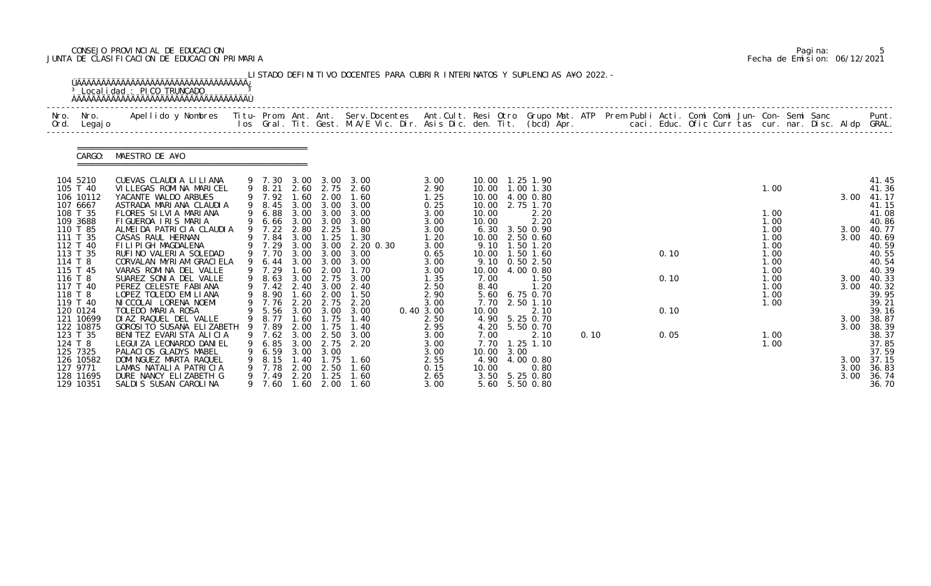### CONSEJO PROVINCIAL DE EDUCACION Pagina: 5 JUNTA DE CLASIFICACION DE EDUCACION PRIMARIA Fecha de Emision: 06/12/2021

| Nro.<br>Ord. | Nro.<br>Legaj o                  | Apellido y Nombres  Titu- Prom. Ant. Ant.  Serv.Docentes  Ant.Cult. Resi Otro  Grupo Mat. ATP  Prem Publi Acti. Comi Comi Jun- Con- Semi Sanc              Punt.<br>Ios Gral. Tit. Gest. M.A/E Vic. Dir. Asis Dic. den. Tit. (bcd |         |                       |                      |                                  |                               |                      |                                      |      |                           |      |  |      |  |                      |  |              |                         |
|--------------|----------------------------------|-----------------------------------------------------------------------------------------------------------------------------------------------------------------------------------------------------------------------------------|---------|-----------------------|----------------------|----------------------------------|-------------------------------|----------------------|--------------------------------------|------|---------------------------|------|--|------|--|----------------------|--|--------------|-------------------------|
|              | CARGO:                           | MAESTRO DE A¥O                                                                                                                                                                                                                    |         |                       |                      |                                  |                               |                      |                                      |      |                           |      |  |      |  |                      |  |              |                         |
|              | 104 5210<br>105 T 40             | CUEVAS CLAUDIA LILIANA<br>VILLEGAS ROMINA MARICEL                                                                                                                                                                                 |         | 9 8.21                | 2.60                 | 2.75                             | 9 7.30 3.00 3.00 3.00<br>2.60 | 3.00<br>2.90         | 10.00  1.25  1.90<br>10.00 1.00 1.30 |      |                           |      |  |      |  | 1.00                 |  |              | 41.45<br>41.36          |
|              | 106 10112<br>107 6667            | YACANTE WALDO ARBUES<br>ASTRADA MARIANA CLAUDIA                                                                                                                                                                                   |         | 9 8.45                |                      | 3.00 3.00                        | 9 7.92 1.60 2.00 1.60<br>3.00 | 1.25<br>0.25         | 10.00 4.00 0.80<br>10.00             |      | 2.75 1.70                 |      |  |      |  |                      |  | 3.00         | 41.17<br>41.15          |
|              | 108 T 35<br>109 3688<br>110 T 85 | FLORES SILVIA MARIANA<br>FIGUEROA IRIS MARIA<br>ALMEIDA PATRICIA CLAUDIA                                                                                                                                                          |         | 9 6.88<br>9 7.22      | 3.00<br>2.80         | 3.00<br>9 6.66 3.00 3.00<br>2.25 | 3.00<br>3.00<br>1.80          | 3.00<br>3.00<br>3.00 | 10.00<br>10.00<br>6.30               |      | 2.20<br>2.20<br>3.50 0.90 |      |  |      |  | 1.00<br>1.00<br>1.00 |  | 3.00         | 41.08<br>40.86<br>40.77 |
|              | 111 T 35<br>112 T 40             | CASAS RAUL HERNAN<br>FILIPIGH MAGDALENA                                                                                                                                                                                           |         | 7.84<br>9 7.29        | 3.00                 | 1.25                             | 1.30<br>3.00 3.00 2.20 0.30   | 1.20<br>3.00         | 10.00<br>9.10                        |      | 2.50 0.60<br>1.50 1.20    |      |  |      |  | 1.00<br>1.00         |  | 3.00         | 40.69<br>40.59          |
|              | 113 T 35<br>114 T 8              | RUFINO VALERIA SOLEDAD<br>CORVALAN MYRIAM GRACI ELA                                                                                                                                                                               |         | 9 7.70<br>9 6.44      | 3.00<br>3.00         | 3.00<br>3.00                     | 3.00<br>3.00                  | 0.65<br>3.00         | 10.00<br>9.10 0.50 2.50              |      | 1.50 1.60                 |      |  | 0.10 |  | 1.00<br>1.00         |  |              | 40.55<br>40.54          |
|              | 115 T 45<br>116 T 8              | VARAS ROMINA DEL VALLE<br>SUAREZ SONIA DEL VALLE                                                                                                                                                                                  |         | 9 7.29<br>9 8.63      | 1.60<br>3.00         | 2.00<br>2.75                     | 1.70<br>3.00                  | 3.00<br>1.35         | 10.00 4.00 0.80<br>7.00              |      | 1.50                      |      |  | 0.10 |  | 1.00<br>1.00         |  | 3.00         | 40.39<br>40.33          |
|              | 117 T 40<br>118 T 8              | PEREZ CELESTE FABIANA<br>LOPEZ TOLEDO EMILIANA                                                                                                                                                                                    |         | 9 7.42<br>9 8.90      | 2.40<br>1.60         | 3.00<br>2.00                     | 2.40<br>1.50                  | 2.50<br>2.90         | 8.40<br>5.60                         |      | 1.20<br>6.75 0.70         |      |  |      |  | 1.00<br>1.00         |  | 3.00         | 40.32<br>39.95          |
|              | 119 T 40<br>120 0124             | NI CCOLAI LORENA NOEMI<br>TOLEDO MARIA ROSA                                                                                                                                                                                       |         | 9 7.76                | 2.20                 | 2.75<br>9 5.56 3.00 3.00         | 2.20<br>3.00<br>1.40          | 3.00<br>0.40 3.00    | 7.70<br>10.00                        |      | 2.50 1.10<br>2.10         |      |  | 0.10 |  | 1.00                 |  | 3.00         | 39.21<br>39.16          |
|              | 121 10699<br>122 10875           | DI AZ RAQUEL DEL VALLE<br>GOROSI TO SUSANA ELIZABETH                                                                                                                                                                              |         | 9 8.77 1.60<br>9 7.89 | 2.00                 | 1.75<br>1.75                     | 1.40                          | 2.50<br>2.95         | 4.90 5.25 0.70<br>4.20 5.50 0.70     |      |                           |      |  |      |  |                      |  | 3.00         | 38.87<br>38.39          |
|              | 123 T 35<br>124 T 8<br>125 7325  | BENITEZ EVARISTA ALICIA<br>LEGUI ZA LEONARDO DANI EL<br>PALACIOS GLADYS MABEL                                                                                                                                                     |         | 7.62<br>6.85<br>6.59  | 3.00<br>3.00<br>3.00 | 2.50<br>2.75<br>3.00             | 3.00<br>2.20                  | 3.00<br>3.00<br>3.00 | 7.00<br>7.70<br>10.00                | 3.00 | 2.10<br>$1.25$ $1.10$     | 0.10 |  | 0.05 |  | 1.00<br>1.00         |  |              | 38.37<br>37.85<br>37.59 |
|              | 126 10582<br>127 9771            | DOMINGUEZ MARTA RAQUEL<br>LAMAS NATALIA PATRICIA                                                                                                                                                                                  | 9<br>9  | 8.15<br>7.78          | 1.40<br>2.00         | 1.75<br>2.50                     | 1.60<br>1.60                  | 2.55<br>0.15         | 4.90<br>10.00                        |      | 4.00 0.80<br>0.80         |      |  |      |  |                      |  | 3.00<br>3.00 | 37.15<br>36.83          |
|              | 128 11695<br>129 10351           | DURE NANCY ELIZABETH G<br>SALDIS SUSAN CAROLINA                                                                                                                                                                                   | 9.<br>9 | 7.49<br>7.60          | 2.20<br>1.60         | 1.25<br>2.00                     | 1.60<br>1.60                  | 2.65<br>3.00         | 3.50<br>5.60                         |      | 5.25 0.80<br>5.50 0.80    |      |  |      |  |                      |  | 3.00         | 36.74<br>36.70          |

|  | Pagi na: |                              |
|--|----------|------------------------------|
|  |          | Fecha de Emision: 06/12/2021 |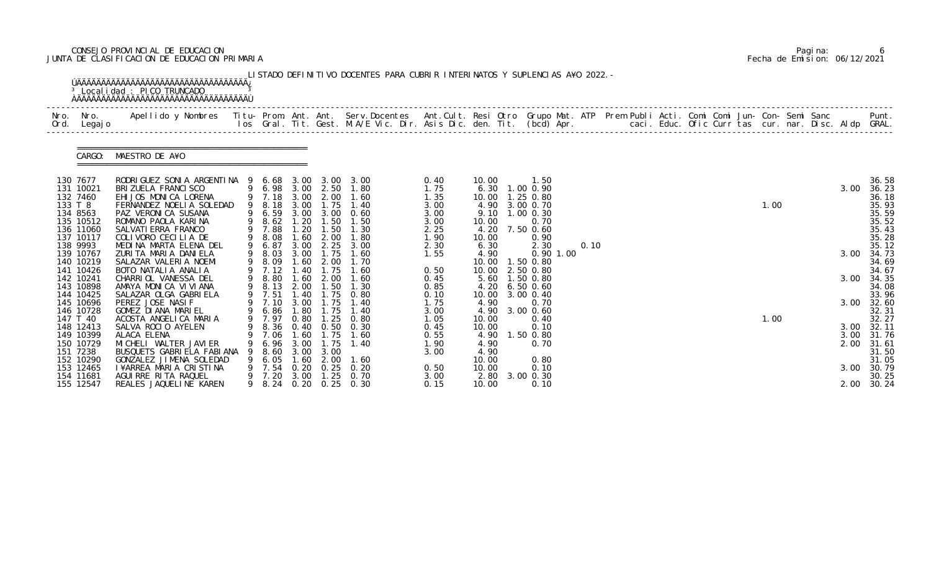### CONSEJO PROVINCIAL DE EDUCACION Pagina: 6 JUNTA DE CLASIFICACION DE EDUCACION PRIMARIA Fecha de Emision: 06/12/2021

| Nro. Nro.<br>Ord. Legajo | Apellido y Nombres  Titu- Prom. Ant. Ant.  Serv.Docentes  Ant.Cult. Resi Otro  Grupo Mat. ATP  Prem Publi Acti. Comi Comi Jun- Con- Semi Sanc              Punt.<br>Ios Gral. Tit. Gest. M.A/E Vic. Dir. Asis Dic. den. Tit. (bcd |                  |              |                   |                                                |              |                |                                  |             |      |  |  |  |      |  |      |                     |
|--------------------------|-----------------------------------------------------------------------------------------------------------------------------------------------------------------------------------------------------------------------------------|------------------|--------------|-------------------|------------------------------------------------|--------------|----------------|----------------------------------|-------------|------|--|--|--|------|--|------|---------------------|
| CARGO:                   | MAESTRO DE A¥O                                                                                                                                                                                                                    |                  |              |                   |                                                |              |                |                                  |             |      |  |  |  |      |  |      |                     |
| 130 7677<br>131 10021    | RODRI GUEZ SONI A ARGENTI NA 9 6.68 3.00 3.00 3.00<br>BRI ZUELA FRANCI SCO                                                                                                                                                        | 9 6.98 3.00 2.50 |              |                   | 1.80                                           | 0.40<br>1.75 | 10.00          | 1.50<br>$6.30$ 1.00 0.90         |             |      |  |  |  |      |  | 3.00 | 36.58<br>36.23      |
| 132 7460                 | EHIJOS MONICA LORENA                                                                                                                                                                                                              |                  |              |                   | 9 7.18 3.00 2.00 1.60                          | 1.35         |                | 10.00  1.25  0.80                |             |      |  |  |  |      |  |      | 36.18               |
| 133 T 8<br>134 8563      | FERNANDEZ NOELIA SOLEDAD<br>PAZ VERONICA SUSANA                                                                                                                                                                                   | 9 8.18<br>9 6.59 |              | 3.00 1.75         | 1.40<br>3.00 3.00 0.60                         | 3.00<br>3.00 |                | 4.90 3.00 0.70<br>9.10 1.00 0.30 |             |      |  |  |  | 1.00 |  |      | 35.93<br>35.59      |
| 135 10512                | ROMANO PAOLA KARINA                                                                                                                                                                                                               | 9 8.62 1.20      |              | 1.50              | 1.50                                           | 3.00         | 10.00          | 0.70                             |             |      |  |  |  |      |  |      | 35.52               |
| 136 11060<br>137 10117   | SALVATI ERRA FRANCO<br>COLIVORO CECILIA DE                                                                                                                                                                                        | 9 7.88<br>9 8.08 | 1.20<br>1.60 | 1.50<br>2.00      | 1.30<br>1.80                                   | 2.25<br>1.90 | 10.00          | 4.20 7.50 0.60<br>0.90           |             |      |  |  |  |      |  |      | 35.43<br>35.28      |
| 138 9993                 | MEDINA MARTA ELENA DEL                                                                                                                                                                                                            | 9 6.87           |              |                   | 3.00 2.25 3.00                                 | 2.30         | 6.30           | 2.30                             |             | 0.10 |  |  |  |      |  |      | 35.12               |
| 139 10767<br>140 10219   | ZURITA MARIA DANIELA<br>SALAZAR VALERIA NOEMI                                                                                                                                                                                     | 9 8.03<br>9 8.09 | 1.60         | 3.00 1.75<br>2.00 | 1.60<br>1.70                                   | 1.55         | 4.90           | 10.00  1.50  0.80                | $0.90$ 1.00 |      |  |  |  |      |  | 3.00 | 34.73<br>34.69      |
| 141 10426                | BOTO NATALIA ANALIA                                                                                                                                                                                                               | 9 7.12           | 1.40         | 1.75              | 1.60                                           | 0.50         |                | 10.00 2.50 0.80                  |             |      |  |  |  |      |  |      | 34.67               |
| 142 10241                | CHARRIOL VANESSA DEL                                                                                                                                                                                                              | 9 8.80           | 1.60         | 2.00              | 1.60                                           | 0.45         |                | 5.60 1.50 0.80                   |             |      |  |  |  |      |  | 3.00 | 34.35               |
| 143 10898<br>144 10425   | AMAYA MONICA VIVIANA<br>SALAZAR OLGA GABRI ELA                                                                                                                                                                                    | 9 8.13<br>9 7.51 | 2.00<br>1.40 | 1.50              | 1.30<br>1.75 0.80                              | 0.85<br>0.10 | 4.20           | $6.50$ $0.60$<br>10.00 3.00 0.40 |             |      |  |  |  |      |  |      | 34.08<br>33.96      |
| 145 10696                | PEREZ JOSE NASIF                                                                                                                                                                                                                  | 9 7.10           |              | 3.00 1.75         | 1.40                                           | 1.75         | 4.90           | 0.70                             |             |      |  |  |  |      |  | 3.00 | 32.60               |
| 146 10728                | GOMEZ DI ANA MARI EL                                                                                                                                                                                                              | 9 6.86 1.80      |              | 1.75              | 1.40                                           | 3.00         |                | 4.90 3.00 0.60                   |             |      |  |  |  |      |  |      | 32.31               |
| 147 T 40<br>148 12413    | ACOSTA ANGELICA MARIA<br>SALVA ROCIO AYELEN                                                                                                                                                                                       |                  |              |                   | 9 7.97 0.80 1.25 0.80<br>9 8.36 0.40 0.50 0.30 | 1.05<br>0.45 | 10.00<br>10.00 | 0.40<br>0.10                     |             |      |  |  |  | 1.00 |  |      | 32.27<br>3.00 32.11 |
| 149 10399                | ALACA ELENA                                                                                                                                                                                                                       | 7.06             | 1.60         | 1.75              | 1.60                                           | 0.55         | 4.90           | 1.50 0.80                        |             |      |  |  |  |      |  |      | 3.00 31.76          |
| 150 10729                | MI CHELI WALTER JAVI ER<br>BUSQUETS GABRIELA FABIANA                                                                                                                                                                              | 6. 96            | 3.00         | 1.75              | 1.40                                           | 1.90         | 4.90           | 0.70                             |             |      |  |  |  |      |  | 2.00 | 31.61               |
| 151 7238<br>152 10290    | GONZALEZ JIMENA SOLEDAD                                                                                                                                                                                                           | 8.60<br>6.05     | 3.00<br>1.60 | 3.00<br>2.00      | 1.60                                           | 3.00         | 4.90<br>10.00  | 0.80                             |             |      |  |  |  |      |  |      | 31.50<br>31.05      |
| 153 12465                | I¥ARREA MARIA CRISTINA                                                                                                                                                                                                            | 9 7.54           | 0. 20        |                   | $0.25$ 0.20                                    | 0.50         | 10.00          | 0.10                             |             |      |  |  |  |      |  | 3.00 | 30.79               |
| 154 11681<br>155 12547   | AGUIRRE RITA RAQUEL<br>REALES JAQUELINE KAREN                                                                                                                                                                                     | 9 7.20<br>9 8.24 | 3.00         | 1.25              | 0. 70<br>$0.20 \quad 0.25 \quad 0.30$          | 3.00<br>0.15 | 2.80<br>10.00  | 3.00 0.30<br>0.10                |             |      |  |  |  |      |  |      | 30.25<br>2.00 30.24 |

|  | Pagi na: |                              |
|--|----------|------------------------------|
|  |          | Fecha de Emision: 06/12/2021 |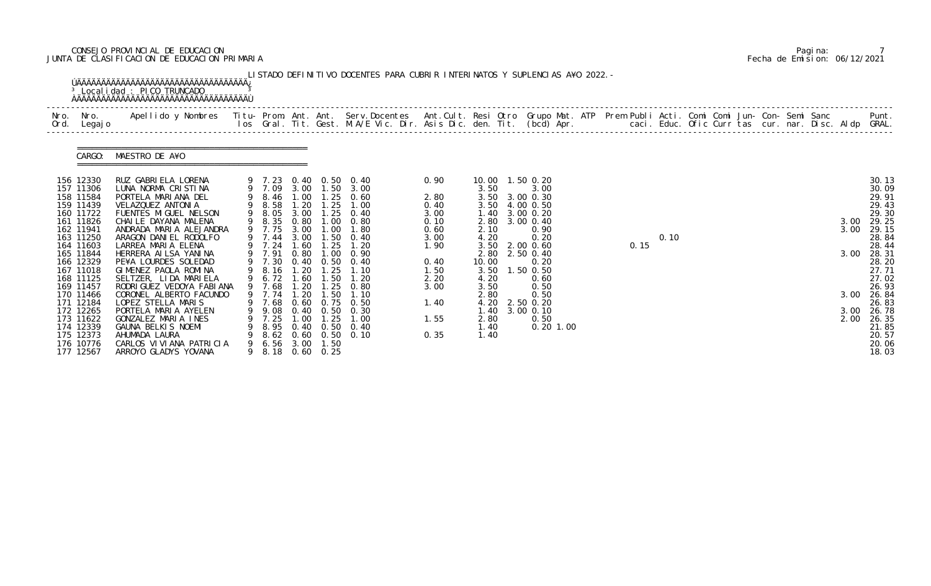## CONSEJO PROVINCIAL DE EDUCACION Pagina: 7 JUNTA DE CLASIFICACION DE EDUCACION PRIMARIA Fecha de Emision: 06/12/2021

| Ord. | Nro. Nro.<br>Legaj o   | Apellido y Nombres - Titu- Prom. Ant. Ant. Serv.Docentes - Ant.Cult. Resi Otro Grupo Mat. ATP - Prem Publi Acti. Comi Comi Jun- Con- Semi Sanc - Semi Sanc - Semi Sanc - Semi Sanc - Semi Sanc - Semi Sanc - Semi Sanc. Int. G |                  |              |                  |                                                |              |              |                   |             |  |      |      |  |  |  | caci. Educ. Ofic Curr tas cur. nar. Disc. Aldp GRAL. | Punt.          |
|------|------------------------|--------------------------------------------------------------------------------------------------------------------------------------------------------------------------------------------------------------------------------|------------------|--------------|------------------|------------------------------------------------|--------------|--------------|-------------------|-------------|--|------|------|--|--|--|------------------------------------------------------|----------------|
|      |                        |                                                                                                                                                                                                                                |                  |              |                  |                                                |              |              |                   |             |  |      |      |  |  |  |                                                      |                |
|      | CARGO:                 | MAESTRO DE A¥O                                                                                                                                                                                                                 |                  |              |                  |                                                |              |              |                   |             |  |      |      |  |  |  |                                                      |                |
|      | 156 12330              | RUZ GABRI ELA LORENA                                                                                                                                                                                                           |                  |              |                  |                                                | 0.90         |              | 10.00  1.50  0.20 |             |  |      |      |  |  |  |                                                      |                |
|      | 157 11306              | LUNA NORMA CRISTINA                                                                                                                                                                                                            |                  |              |                  | 9 7.23 0.40 0.50 0.40<br>9 7.09 3.00 1.50 3.00 |              | 3.50         | 3.00              |             |  |      |      |  |  |  |                                                      | 30.13<br>30.09 |
|      | 158 11584              | PORTELA MARIANA DEL                                                                                                                                                                                                            | 9 8.46           | 1.00         | 1.25             | 0.60                                           | 2.80         | 3.50         | 3.00 0.30         |             |  |      |      |  |  |  |                                                      | 29.91          |
|      | 159 11439              | VELAZQUEZ ANTONIA                                                                                                                                                                                                              | 9 8.58           | 1.20         | 1.25             | 1.00                                           | 0.40         | 3.50         | 4.00 0.50         |             |  |      |      |  |  |  |                                                      | 29.43          |
|      | 160 11722              | FUENTES MIGUEL NELSON                                                                                                                                                                                                          | 9 8.05           | 3.00         |                  | 1.25 0.40                                      | 3.00         | 1.40         | 3.00 0.20         |             |  |      |      |  |  |  |                                                      | 29.30          |
|      | 161 11826              | CHAILE DAYANA MALENA                                                                                                                                                                                                           | 9 8.35           | 0.80         |                  | $1.00 \quad 0.80$                              | 0.10         |              | 2.80 3.00 0.40    |             |  |      |      |  |  |  |                                                      | 3.00 29.25     |
|      | 162 11941              | ANDRADA MARIA ALEJANDRA                                                                                                                                                                                                        | 9 7.75           | 3.00         | 1.00             | 1.80                                           | 0.60         | 2.10         | 0.90              |             |  |      |      |  |  |  | 3.00                                                 | 29.15          |
|      | 163 11250              | ARAGON DANIEL RODOLFO                                                                                                                                                                                                          | 9 7.44           | 3.00         | 1.50             | 0.40                                           | 3.00         | 4.20         | 0.20              |             |  |      | 0.10 |  |  |  |                                                      | 28.84          |
|      | 164 11603              | LARREA MARIA ELENA                                                                                                                                                                                                             | 9 7.24           | 1.60         | 1.25             | 1.20                                           | 1.90         |              | 3.50 2.00 0.60    |             |  | 0.15 |      |  |  |  |                                                      | 28.44          |
|      | 165 11844              | HERRERA AI LSA YANI NA                                                                                                                                                                                                         | 9 7.91           | 0.80         | 1.00             | 0.90                                           |              | 2.80         | 2.50 0.40         |             |  |      |      |  |  |  | 3.00                                                 | 28.31          |
|      | 166 12329              | PE¥A LOURDES SOLEDAD                                                                                                                                                                                                           | 9 7.30           |              |                  | $0.40$ $0.50$ $0.40$                           | 0.40         | 10.00        | 0.20              |             |  |      |      |  |  |  |                                                      | 28.20          |
|      | 167 11018              | GIMENEZ PAOLA ROMINA                                                                                                                                                                                                           | 9 8.16           | 1. 20        | 1.25             | 1.10                                           | 1.50         | 3.50         | $1.50$ 0.50       |             |  |      |      |  |  |  |                                                      | 27.71          |
|      | 168 11125<br>169 11457 | SELTZER, LIDA MARIELA<br>RODRI GUEZ VEDOYA FABI ANA                                                                                                                                                                            | 9 6.72<br>9 7.68 | 1.60<br>1.20 | 1.50<br>1.25     | 1.20<br>0.80                                   | 2.20<br>3.00 | 4.20<br>3.50 | 0.60<br>0.50      |             |  |      |      |  |  |  |                                                      | 27.02<br>26.93 |
|      | 170 11466              | CORONEL ALBERTO FACUNDO                                                                                                                                                                                                        | 9 7.74           | 1.20         | 1.50             | 1.10                                           |              | 2.80         | 0.50              |             |  |      |      |  |  |  | 3.00                                                 | 26.84          |
|      | 171 12184              | LOPEZ STELLA MARIS                                                                                                                                                                                                             | 9 7.68           |              |                  | 0.60 0.75 0.50                                 | 1.40         | 4.20         | 2.50 0.20         |             |  |      |      |  |  |  |                                                      | 26.83          |
|      | 172 12265              | PORTELA MARIA AYELEN                                                                                                                                                                                                           | 9 9.08           |              | $0.40\quad 0.50$ | 0.30                                           |              | 1.40         | 3.00 0.10         |             |  |      |      |  |  |  | 3.00                                                 | 26.78          |
|      | 173 11622              | GONZALEZ MARIA INES                                                                                                                                                                                                            | 9 7.25           | 1.00         | 1.25             | 1.00                                           | 1.55         | 2.80         | 0.50              |             |  |      |      |  |  |  | 2.00                                                 | 26.35          |
|      | 174 12339              | GAUNA BELKIS NOEMI                                                                                                                                                                                                             |                  |              |                  | 9 8.95 0.40 0.50 0.40                          |              | 1.40         |                   | $0.20$ 1.00 |  |      |      |  |  |  |                                                      | 21.85          |
|      | 175 12373              | AHUMADA LAURA                                                                                                                                                                                                                  |                  |              |                  | 9 8.62 0.60 0.50 0.10                          | 0.35         | 1.40         |                   |             |  |      |      |  |  |  |                                                      | 20.57          |
|      | 176 10776              | CARLOS VI VI ANA PATRI CI A                                                                                                                                                                                                    | 9 6.56 3.00      |              | 1.50             |                                                |              |              |                   |             |  |      |      |  |  |  |                                                      | 20.06          |
|      | 177 12567              | ARROYO GLADYS YOVANA                                                                                                                                                                                                           |                  |              | 9 8.18 0.60 0.25 |                                                |              |              |                   |             |  |      |      |  |  |  |                                                      | 18.03          |

|  | Pagi na: |                              |
|--|----------|------------------------------|
|  |          | Fecha de Emision: 06/12/2021 |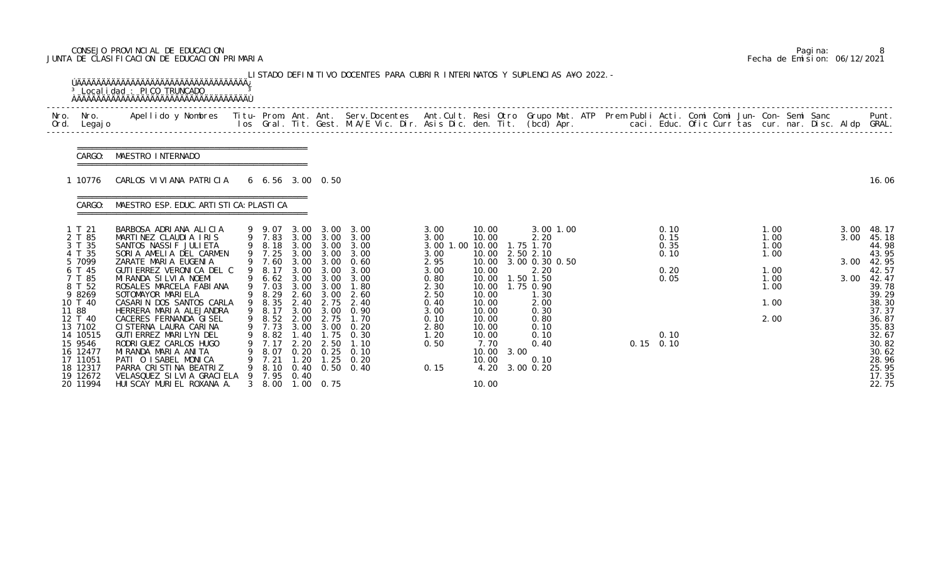### CONSEJO PROVINCIAL DE EDUCACION Pagina: 8 JUNTA DE CLASIFICACION DE EDUCACION PRIMARIA Fecha de Emision: 06/12/2021

|              |                                                                                                                                             | <sup>3</sup> Localidad : PICO TRUNCADO<br><b>OAAAAAAAAAAAAAAAAAAAAAAAAAAAAAAAAAA</b>                                                                                                                                                                                                                                                          |   |                                                                                                                            |                                                                                      |                                                                                               | LISTADO DEFINITIVO DOCENTES PARA CUBRIR INTERINATOS Y SUPLENCIAS A¥O 2022. -                  |                                                                              |                                                                                                        |      |                                                                                                     |  |                                      |  |                                      |  |                      |                                                                                                                   |
|--------------|---------------------------------------------------------------------------------------------------------------------------------------------|-----------------------------------------------------------------------------------------------------------------------------------------------------------------------------------------------------------------------------------------------------------------------------------------------------------------------------------------------|---|----------------------------------------------------------------------------------------------------------------------------|--------------------------------------------------------------------------------------|-----------------------------------------------------------------------------------------------|-----------------------------------------------------------------------------------------------|------------------------------------------------------------------------------|--------------------------------------------------------------------------------------------------------|------|-----------------------------------------------------------------------------------------------------|--|--------------------------------------|--|--------------------------------------|--|----------------------|-------------------------------------------------------------------------------------------------------------------|
| Nro.<br>Ord. | Nro.<br>Legaj o                                                                                                                             | Apellido y Nombres - Titu- Prom. Ant. Ant. Serv.Docentes - Ant.Cult. Resi Otro Grupo Mat. ATP Prem Publi Acti. Comi Comi Jun- Con- Semi Sanc - - - - Punt.<br>Ios Gral. Tit. Gest. M.A/E Vic. Dir. Asis Dic. den. Tit. (bcd) Apr.                                                                                                             |   |                                                                                                                            |                                                                                      |                                                                                               |                                                                                               |                                                                              |                                                                                                        |      |                                                                                                     |  |                                      |  |                                      |  |                      |                                                                                                                   |
|              | CARGO:                                                                                                                                      | MAESTRO INTERNADO                                                                                                                                                                                                                                                                                                                             |   |                                                                                                                            |                                                                                      |                                                                                               |                                                                                               |                                                                              |                                                                                                        |      |                                                                                                     |  |                                      |  |                                      |  |                      |                                                                                                                   |
|              | 10776                                                                                                                                       | CARLOS VI VI ANA PATRI CI A                                                                                                                                                                                                                                                                                                                   |   | $6\quad 6.56\quad 3.00\quad 0.50$                                                                                          |                                                                                      |                                                                                               |                                                                                               |                                                                              |                                                                                                        |      |                                                                                                     |  |                                      |  |                                      |  |                      | 16.06                                                                                                             |
|              | CARGO:                                                                                                                                      | MAESTRO ESP. EDUC. ARTI STI CA: PLASTI CA                                                                                                                                                                                                                                                                                                     |   |                                                                                                                            |                                                                                      |                                                                                               |                                                                                               |                                                                              |                                                                                                        |      |                                                                                                     |  |                                      |  |                                      |  |                      |                                                                                                                   |
|              | 1 T 21<br>2 T 85<br>3 T 35<br>4 T 35<br>5 7099<br>6 T 45                                                                                    | BARBOSA ADRIANA ALICIA<br>MARTINEZ CLAUDIA IRIS<br>SANTOS NASSIF JULIETA<br>SORIA AMELIA DEL CARMEN<br>ZARATE MARIA EUGENIA<br>GUTI ERREZ VERONI CA DEL C                                                                                                                                                                                     |   | 9 9.07<br>9 7.83<br>9 8.18<br>9 7.25<br>9 7.60<br>8.17                                                                     | 3.00<br>3.00<br>3.00<br>3.00<br>3.00                                                 | 3.00 3.00<br>3.00<br>3.00<br>3.00<br>3.00                                                     | 3.00 3.00<br>3.00<br>3.00<br>3.00<br>0.60<br>3.00                                             | 3.00<br>3.00<br>3.00 1.00 10.00<br>3.00<br>2.95<br>3.00                      | 10.00<br>10.00<br>10.00<br>10.00<br>10.00                                                              |      | 3.00 1.00<br>2.20<br>1.75 1.70<br>2.50 2.10<br>3.00 0.30 0.50<br>2.20                               |  | 0.10<br>0.15<br>0.35<br>0.10<br>0.20 |  | 1.00<br>1.00<br>1.00<br>1.00<br>1.00 |  | 3.00<br>3.00<br>3.00 | 48.17<br>45.18<br>44.98<br>43.95<br>42.95<br>42.57                                                                |
|              | 7 T 85<br>8 T 52<br>9 8269<br>10 T 40<br>11 88<br>12 T 40<br>13 7102<br>14 10515<br>15 9546<br>16 12477<br>17 11051<br>18 12317<br>19 12672 | MI RANDA SI LVI A NOEMI<br>ROSALES MARCELA FABIANA<br>SOTOMAYOR MARIELA<br>CASARIN DOS SANTOS CARLA<br>HERRERA MARIA ALEJANDRA<br>CACERES FERNANDA GISEL<br>CI STERNA LAURA CARINA<br>GUTI ERREZ MARI LYN DEL<br>RODRI GUEZ CARLOS HUGO<br>MIRANDA MARIA ANITA<br>PATI O ISABEL MONICA<br>PARRA CRISTINA BEATRIZ<br>VELASQUEZ SILVIA GRACIELA | 9 | 9 6.62 3.00<br>9 7.03<br>8.29<br>9 8.35<br>9 8.17<br>9 8.52<br>9 7.73 3.00<br>8.82<br>7.17<br>8.07<br>7.21<br>8.10<br>7.95 | 3.00<br>2.60<br>2.40<br>3.00<br>2.00<br>1.40<br>2.20<br>0.20<br>1.20<br>0.40<br>0.40 | 3.00<br>3.00<br>3.00<br>2.75<br>3.00<br>2.75<br>3.00<br>1. 75<br>2.50<br>0.25<br>1.25<br>0.50 | 3.00<br>1.80<br>2.60<br>2.40<br>0.90<br>1.70<br>0.20<br>0.30<br>1.10<br>0.10<br>0. 20<br>0.40 | 0.80<br>2.30<br>2.50<br>0.40<br>3.00<br>0.10<br>2.80<br>1.20<br>0.50<br>0.15 | 10.00<br>10.00<br>10.00<br>10.00<br>10.00<br>10.00<br>10.00<br>10.00<br>7.70<br>10.00<br>10.00<br>4.20 | 3.00 | 1.50 1.50<br>1.75 0.90<br>1.30<br>2.00<br>0.30<br>0.80<br>0.10<br>0.10<br>0.40<br>0.10<br>3.00 0.20 |  | 0.05<br>0.10<br>$0.15$ 0.10          |  | 1.00<br>1.00<br>1.00<br>2.00         |  | 3.00                 | 42.47<br>39.78<br>39.29<br>38.30<br>37.37<br>36.87<br>35.83<br>32.67<br>30.82<br>30.62<br>28.96<br>25.95<br>17.35 |
|              | 20 11994                                                                                                                                    | HUI SCAY MURI EL ROXANA A.                                                                                                                                                                                                                                                                                                                    |   | 3 8.00                                                                                                                     |                                                                                      | $1.00 \quad 0.75$                                                                             |                                                                                               |                                                                              | 10.00                                                                                                  |      |                                                                                                     |  |                                      |  |                                      |  |                      | 22.75                                                                                                             |

|  | Pagi na: |                              |
|--|----------|------------------------------|
|  |          | Fecha de Emision: 06/12/2021 |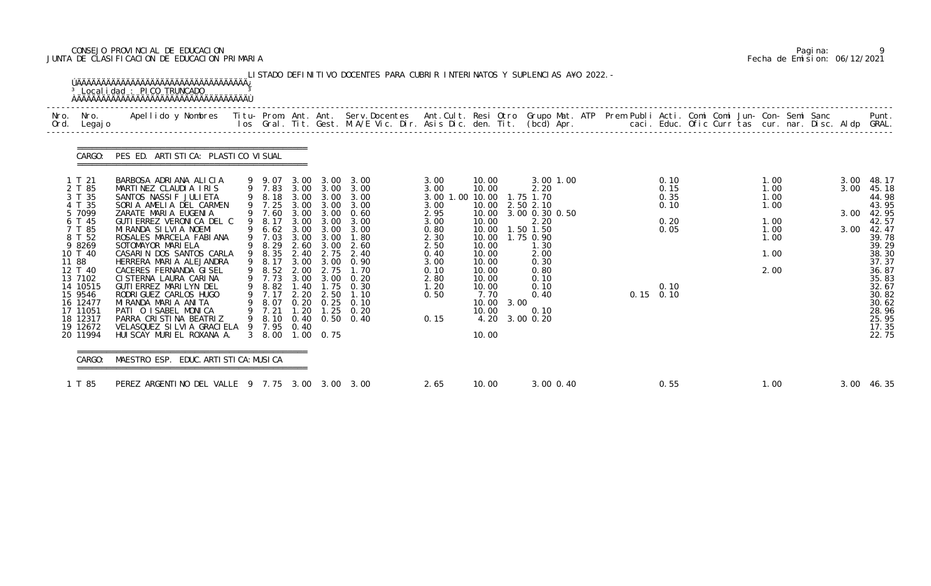### CONSEJO PROVINCIAL DE EDUCACION Pagina: 9 JUNTA DE CLASIFICACION DE EDUCACION PRIMARIA Fecha de Emision: 06/12/2021

| Nro. Nro.<br>Ord. Legajo                                                                                                                                                                                | Apellido y Nombres  Titu- Prom. Ant. Ant. Serv.Docentes  Ant.Cult. Resi Otro Grupo Mat. ATP Prem Publi Acti. Comi Comi Jun- Con- Semi Sanc         Punt.<br>Ios Gral. Tit. Gest. M.A/E Vic. Dir. Asis Dic. den. Tit. (bcd) Apr.                                                                                                                                                                                                                                                                                       |                                                                                                                                                                             |                              |                                                   |                                                                                                                                                                                                                                                                                      |                                                                                                                                                   |                                                                                                                                                                    |                                                                                                                                                    |  |                                                                     |  |                                                                      |                              |                                                                                                                                                                         |
|---------------------------------------------------------------------------------------------------------------------------------------------------------------------------------------------------------|-----------------------------------------------------------------------------------------------------------------------------------------------------------------------------------------------------------------------------------------------------------------------------------------------------------------------------------------------------------------------------------------------------------------------------------------------------------------------------------------------------------------------|-----------------------------------------------------------------------------------------------------------------------------------------------------------------------------|------------------------------|---------------------------------------------------|--------------------------------------------------------------------------------------------------------------------------------------------------------------------------------------------------------------------------------------------------------------------------------------|---------------------------------------------------------------------------------------------------------------------------------------------------|--------------------------------------------------------------------------------------------------------------------------------------------------------------------|----------------------------------------------------------------------------------------------------------------------------------------------------|--|---------------------------------------------------------------------|--|----------------------------------------------------------------------|------------------------------|-------------------------------------------------------------------------------------------------------------------------------------------------------------------------|
| CARGO:                                                                                                                                                                                                  | PES ED. ARTI STI CA: PLASTI CO VI SUAL                                                                                                                                                                                                                                                                                                                                                                                                                                                                                |                                                                                                                                                                             |                              |                                                   |                                                                                                                                                                                                                                                                                      |                                                                                                                                                   |                                                                                                                                                                    |                                                                                                                                                    |  |                                                                     |  |                                                                      |                              |                                                                                                                                                                         |
| 1 T 21<br>2 T 85<br>3 T 35<br>4 T 35<br>5 7099<br>6 T 45<br>7 T 85<br>8 T 52<br>9 8269<br>10 T 40<br>11 88<br>12 T 40<br>13 7102<br>14 10515<br>15 9546<br>16 12477<br>17 11051<br>18 12317<br>19 12672 | BARBOSA ADRIANA ALICIA<br>MARTINEZ CLAUDIA IRIS<br>SANTOS NASSIF JULIETA<br>SORIA AMELIA DEL CARMEN<br>ZARATE MARIA EUGENIA<br>GUTI ERREZ VERONI CA DEL C<br>MI RANDA SI LVI A NOEMI<br>ROSALES MARCELA FABIANA<br>SOTOMAYOR MARIELA<br>CASARIN DOS SANTOS CARLA<br>HERRERA MARIA ALEJANDRA<br>CACERES FERNANDA GISEL<br>CI STERNA LAURA CARINA<br>GUTI ERREZ MARILYN DEL<br>RODRI GUEZ CARLOS HUGO<br>MIRANDA MARIA ANITA<br>PATI O ISABEL MONICA<br>PARRA CRISTINA BEATRIZ<br>VELASQUEZ SILVIA GRACIELA 9 7.95 0.40 | 9 8.18 3.00 3.00<br>9 7.25<br>9 7.60<br>9 8.17<br>9 6.62 3.00<br>9 7.03<br>9 8.29<br>9 8.35<br>9 8.17<br>9 8.52<br>9 7.73<br>9 8.82<br>9 7.17<br>9 8.07<br>9 7.21<br>9 8.10 | 3.00<br>2.60<br>2.00<br>2.20 | 3.00<br>3.00<br>3.00 3.00<br>3.00<br>2.75<br>2.50 | 9 9.07 3.00 3.00 3.00<br>9 7.83 3.00 3.00 3.00<br>3.00<br>3.00 3.00 3.00<br>3.00 3.00 0.60<br>3.00<br>3.00<br>1.80<br>2.60<br>2.40 2.75 2.40<br>3.00 3.00 0.90<br>1.70<br>3.00 3.00 0.20<br>1.40 1.75 0.30<br>1.10<br>$0.20$ $0.25$ $0.10$<br>1.20 1.25 0.20<br>$0.40$ $0.50$ $0.40$ | 3.00<br>3.00<br>3.00 1.00 10.00 1.75 1.70<br>3.00<br>2.95<br>3.00<br>0.80<br>2.30<br>2.50<br>0.40<br>3.00<br>0.10<br>2.80<br>1.20<br>0.50<br>0.15 | 10.00<br>10.00<br>10.00 2.50 2.10<br>10.00<br>10.00<br>10.00<br>10.00<br>10.00<br>10.00<br>10.00<br>10.00<br>10.00<br>10.00<br>7.70<br>10.00 3.00<br>10.00<br>4.20 | 3.00 1.00<br>2.20<br>3.00 0.30 0.50<br>2.20<br>1.50 1.50<br>1.75 0.90<br>1.30<br>2.00<br>0.30<br>0.80<br>0.10<br>0.10<br>0.40<br>0.10<br>3.00 0.20 |  | 0.10<br>0.15<br>0.35<br>0.10<br>0.20<br>0.05<br>0.10<br>$0.15$ 0.10 |  | 1.00<br>1.00<br>1.00<br>1.00<br>1.00<br>1.00<br>1.00<br>1.00<br>2.00 | 3.00<br>3.00<br>3.00<br>3.00 | 48.17<br>45.18<br>44.98<br>43.95<br>42.95<br>42.57<br>42.47<br>39.78<br>39.29<br>38.30<br>37.37<br>36.87<br>35.83<br>32.67<br>30.82<br>30.62<br>28.96<br>25.95<br>17.35 |

|  | Pagi na: |                              |
|--|----------|------------------------------|
|  |          | Fecha de Emision: 06/12/2021 |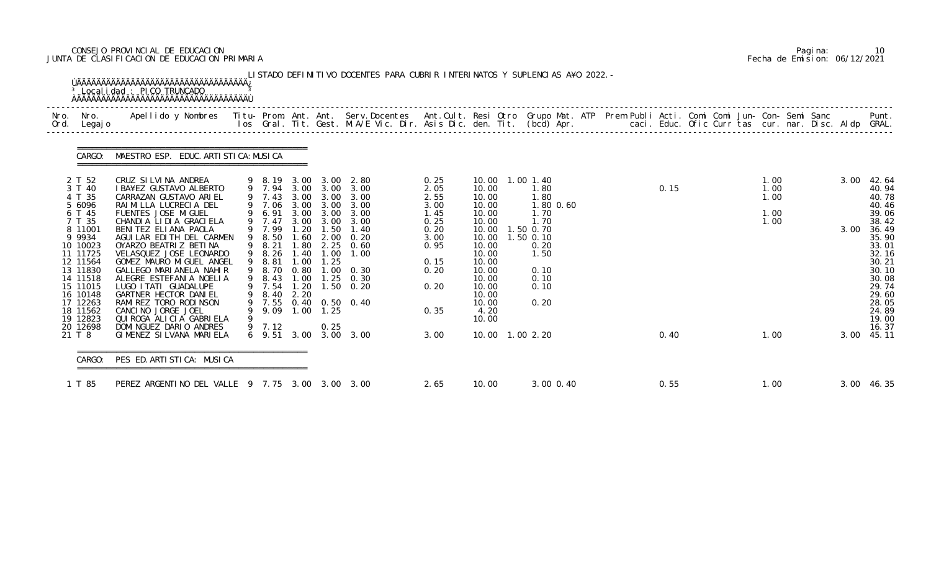### CONSEJO PROVINCIAL DE EDUCACION Pagina: 10 JUNTA DE CLASIFICACION DE EDUCACION PRIMARIA Fecha de Emision: 06/12/2021

| Nro.<br>Nro.<br>Ord.<br>Legaj o                                                                                                              | Apellido y Nombres  Titu- Prom. Ant. Ant. Serv.Docentes  Ant.Cult. Resi Otro Grupo Mat. ATP Prem Publi Acti. Comi Comi Jun- Con- Semi Sanc             Punt.<br>Ios Gral. Tit. Gest. M.A/E Vic. Dir. Asis Dic. den. Tit. (bcd) Ap                                                                                        |   |                                                                                                |                                                              |                                                           |                                                                                                                   |                                                              |                                                                                                         |                                                                        |      |                                      |      |                                                                                                          |
|----------------------------------------------------------------------------------------------------------------------------------------------|--------------------------------------------------------------------------------------------------------------------------------------------------------------------------------------------------------------------------------------------------------------------------------------------------------------------------|---|------------------------------------------------------------------------------------------------|--------------------------------------------------------------|-----------------------------------------------------------|-------------------------------------------------------------------------------------------------------------------|--------------------------------------------------------------|---------------------------------------------------------------------------------------------------------|------------------------------------------------------------------------|------|--------------------------------------|------|----------------------------------------------------------------------------------------------------------|
| CARGO:                                                                                                                                       | MAESTRO ESP. EDUC. ARTI STI CA: MUSI CA                                                                                                                                                                                                                                                                                  |   |                                                                                                |                                                              |                                                           |                                                                                                                   |                                                              |                                                                                                         |                                                                        |      |                                      |      |                                                                                                          |
| 2 T 52<br>3 T 40<br>4 T 35<br>5 6096<br>6 T 45<br>7 T 35                                                                                     | CRUZ SILVINA ANDREA<br>I BA¥EZ GUSTAVO ALBERTO<br>CARRAZAN GUSTAVO ARIEL<br>RAIMILLA LUCRECIA DEL<br>FUENTES JOSE MIGUEL<br>CHANDIA LIDIA GRACIELA                                                                                                                                                                       |   | 9 7.43<br>9 7.06<br>9 6.91<br>9 7.47                                                           | 3.00<br>3.00                                                 | 3.00<br>3.00 3.00<br>3.00                                 | 9 8.19 3.00 3.00 2.80<br>9 7.94 3.00 3.00 3.00<br>3.00<br>3.00<br>3.00 3.00 3.00<br>3.00                          | 0.25<br>2.05<br>2.55<br>3.00<br>1.45                         | 10.00  1.00  1.40<br>10.00<br>10.00<br>10.00<br>10.00<br>10.00                                          | 1.80<br>1.80<br>1.80 0.60<br>1.70<br>1.70                              | 0.15 | 1.00<br>1.00<br>1.00<br>1.00<br>1.00 | 3.00 | 42.64<br>40.94<br>40.78<br>40.46<br>39.06<br>38.42                                                       |
| 8 11001<br>9 9 9 3 4<br>10 10023<br>11 11725<br>12 11564<br>13 11830<br>14 11518<br>15 11015<br>16 10148<br>17 12263<br>18 11562<br>19 12823 | BENITEZ ELIANA PAOLA<br>AGUILAR EDITH DEL CARMEN<br>OYARZO BEATRIZ BETINA<br>VELASQUEZ JOSE LEONARDO<br>GOMEZ MAURO MIGUEL ANGEL<br>GALLEGO MARIANELA NAHIR<br>ALEGRE ESTEFANIA NOELIA<br>LUGO I TATI GUADALUPE<br>GARTNER HECTOR DANIEL<br>RAMI REZ TORO RODI NSON<br>CANCINO JORGE JOEL<br>QUI ROGA ALI CI A GABRI ELA | 9 | 9 7.99<br>9 8.50<br>9 8.21<br>9 8.26<br>9 8.81<br>9 8.70<br>9 8.43<br>9 7.54<br>9 8.40<br>9.09 | 1.20<br>1.80<br>1.40<br>1.00<br>0.80<br>1.00<br>1.20<br>2.20 | 1.50<br>2.25<br>1.00<br>1.25<br>1.25<br>$1.00 \quad 1.25$ | 1.40<br>$1.60$ $2.00$ $0.20$<br>0.60<br>1.00<br>$1.00 \t 0.30$<br>0.30<br>$1.50 \t 0.20$<br>9 7.55 0.40 0.50 0.40 | 0.25<br>0.20<br>3.00<br>0.95<br>0.15<br>0.20<br>0.20<br>0.35 | 10.00<br>10.00<br>10.00<br>10.00<br>10.00<br>10.00<br>10.00<br>10.00<br>10.00<br>10.00<br>4.20<br>10.00 | 1.50 0.70<br>1.50 0.10<br>0.20<br>1.50<br>0.10<br>0.10<br>0.10<br>0.20 |      |                                      | 3.00 | 36.49<br>35.90<br>33.01<br>32.16<br>30.21<br>30.10<br>30.08<br>29.74<br>29.60<br>28.05<br>24.89<br>19.00 |
| 20 12698<br>21 T 8                                                                                                                           | DOMINGUEZ DARIO ANDRES<br>GIMENEZ SILVANA MARIELA                                                                                                                                                                                                                                                                        |   | 9 7.12                                                                                         |                                                              | 0.25                                                      | 6 9.51 3.00 3.00 3.00                                                                                             | 3.00                                                         | 10.00  1.00  2.20                                                                                       |                                                                        | 0.40 | 1.00                                 |      | 16.37<br>3.00 45.11                                                                                      |

|  | Pagi na: |                              |
|--|----------|------------------------------|
|  |          | Fecha de Emision: 06/12/2021 |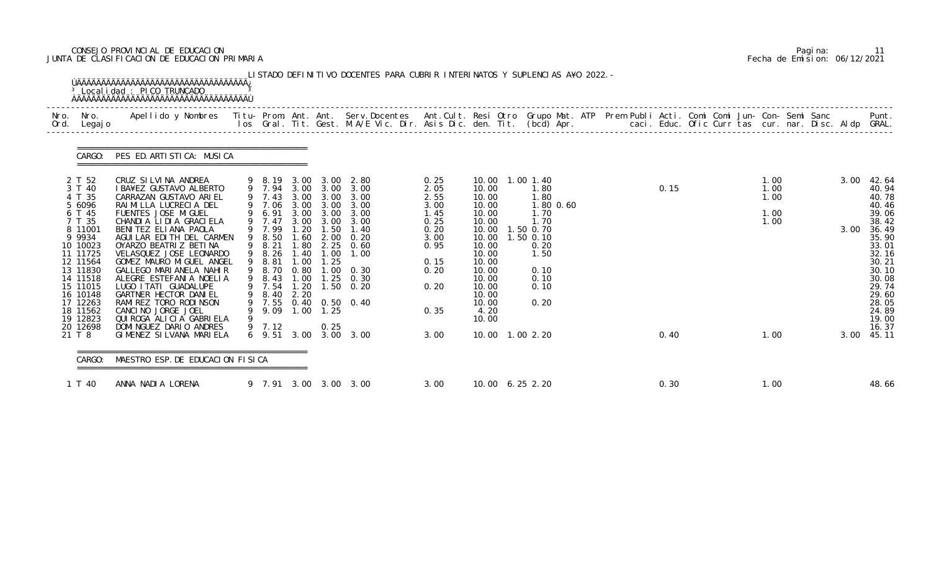### CONSEJO PROVINCIAL DE EDUCACION Pagina: 11 JUNTA DE CLASIFICACION DE EDUCACION PRIMARIA Fecha de Emision: 06/12/2021

| Nro. Nro.<br>Ord. Legajo                                           | Apellido y Nombres - Titu- Prom. Ant. Ant. Serv.Docentes - Ant.Cult. Resi Otro Grupo Mat. ATP Prem Publi Acti. Comi Comi Jun- Con- Semi Sanc - - - Punt.<br>Ios Gral. Tit. Gest. M.A/E Vic. Dir. Asis Dic. den. Tit. (bcd) Apr. - |                                                          |                                      |                              |                                                                                                          |                                      |                                                       |                                                |      |                              |      |                                                    |
|--------------------------------------------------------------------|-----------------------------------------------------------------------------------------------------------------------------------------------------------------------------------------------------------------------------------|----------------------------------------------------------|--------------------------------------|------------------------------|----------------------------------------------------------------------------------------------------------|--------------------------------------|-------------------------------------------------------|------------------------------------------------|------|------------------------------|------|----------------------------------------------------|
|                                                                    | CARGO: PES ED. ARTISTICA: MUSICA                                                                                                                                                                                                  |                                                          |                                      |                              |                                                                                                          |                                      |                                                       |                                                |      |                              |      |                                                    |
| 2 T 52<br>3 T 40<br>4 T 35<br>5 6096<br>6 T 45                     | CRUZ SILVINA ANDREA<br>I BA¥EZ GUSTAVO ALBERTO<br>CARRAZAN GUSTAVO ARIEL<br>RAIMILLA LUCRECIA DEL<br>FUENTES JOSE MIGUEL                                                                                                          | 9 7.43                                                   |                                      | 3.00 3.00                    | 9 8.19 3.00 3.00 2.80<br>9 7.94 3.00 3.00 3.00<br>3.00<br>9 7.06 3.00 3.00 3.00<br>9 6.91 3.00 3.00 3.00 | 0.25<br>2.05<br>2.55<br>3.00<br>1.45 | 10.00  1.00  1.40<br>10.00<br>10.00<br>10.00<br>10.00 | 1.80<br>1.80<br>1.80 0.60<br>1.70              | 0.15 | 1.00<br>1.00<br>1.00<br>1.00 | 3.00 | 42.64<br>40.94<br>40.78<br>40.46<br>39.06          |
| 7 T 35<br>8 11001<br>9 9 9 3 4<br>10 10023<br>11 11725<br>12 11564 | CHANDIA LIDIA GRACIELA<br>BENITEZ ELIANA PAOLA<br>AGUILAR EDITH DEL CARMEN<br>OYARZO BEATRIZ BETINA<br>VELASQUEZ JOSE LEONARDO<br>GOMEZ MAURO MIGUEL ANGEL                                                                        | 9 7.47<br>9 7.99<br>9 8.50<br>9 8.21<br>9 8.26<br>9 8.81 | 3.00<br>1.20<br>1.80<br>1.40<br>1.00 | 3.00<br>1.50<br>1.00<br>1.25 | 3.00<br>1.40<br>1.60 2.00 0.20<br>2.25 0.60<br>1.00                                                      | 0.25<br>0.20<br>3.00<br>0.95<br>0.15 | 10.00<br>10.00<br>10.00<br>10.00<br>10.00<br>10.00    | 1.70<br>1.50 0.70<br>1.50 0.10<br>0.20<br>1.50 |      | 1.00                         | 3.00 | 38.42<br>36.49<br>35.90<br>33.01<br>32.16<br>30.21 |
| 13 11830<br>14 11518<br>15 11015<br>16 10148<br>17 12263           | GALLEGO MARIANELA NAHIR<br>ALEGRE ESTEFANIA NOELIA<br>LUGO I TATI GUADALUPE<br>GARTNER HECTOR DANIEL<br>RAMI REZ TORO RODI NSON                                                                                                   | 9 8.70<br>9 8.43<br>9 7.54<br>9 8.40                     | 0.80<br>1.00<br>1.20<br>2.20         |                              | $1.00$ 0.30<br>$1.25$ 0.30<br>$1.50 \t 0.20$<br>9 7.55 0.40 0.50 0.40                                    | 0.20<br>0.20                         | 10.00<br>10.00<br>10.00<br>10.00<br>10.00             | 0.10<br>0.10<br>0.10<br>0.20                   |      |                              |      | 30.10<br>30.08<br>29.74<br>29.60<br>28.05          |
| 18 11562<br>19 12823<br>20 12698                                   | CANCINO JORGE JOEL<br>QUI ROGA ALI CI A GABRI ELA<br>DOMI NGUEZ DARIO ANDRES                                                                                                                                                      | 9.09<br>9 7.12                                           |                                      | $1.00$ $1.25$<br>0.25        |                                                                                                          | 0.35                                 | 4.20<br>10.00                                         |                                                |      |                              |      | 24.89<br>19.00<br>16.37                            |

|  | Pagi na: | 11                           |
|--|----------|------------------------------|
|  |          | Fecha de Emision: 06/12/2021 |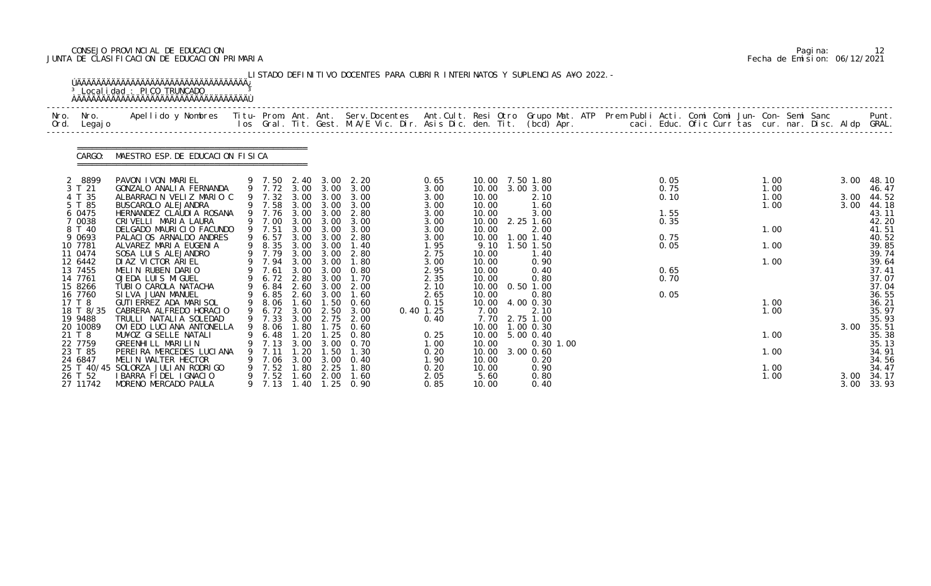### CONSEJO PROVINCIAL DE EDUCACION Pagina: 12 JUNTA DE CLASIFICACION DE EDUCACION PRIMARIA Fecha de Emision: 06/12/2021

|              |                       | <sup>3</sup> Local i dad: PICO TRUNCADO<br><b>AAAAAAAAAAAAAAAAAAAAAAAAAAAAAAAAAAAA</b>                                                                                                                                            |        |                  |              |                                      | LISTADO DEFINITIVO DOCENTES PARA CUBRIR INTERINATOS Y SUPLENCIAS A¥O 2022. - |                     |                |                                    |  |              |  |              |  |      |                |
|--------------|-----------------------|-----------------------------------------------------------------------------------------------------------------------------------------------------------------------------------------------------------------------------------|--------|------------------|--------------|--------------------------------------|------------------------------------------------------------------------------|---------------------|----------------|------------------------------------|--|--------------|--|--------------|--|------|----------------|
| Nro.<br>Ord. | Nro.<br>Legaj o       | Apellido y Nombres - Titu- Prom. Ant. Ant. Serv.Docentes - Ant.Cult. Resi Otro Grupo Mat. ATP Prem Publi Acti. Comi Comi Jun- Con- Semi Sanc - - - Punt.<br>Ios Gral. Tit. Gest. M.A/E Vic. Dir. Asis Dic. den. Tit. (bcd) Apr. - |        |                  |              |                                      |                                                                              |                     |                |                                    |  |              |  |              |  |      |                |
|              | CARGO:                | MAESTRO ESP. DE EDUCACION FISICA                                                                                                                                                                                                  |        |                  |              |                                      |                                                                              |                     |                |                                    |  |              |  |              |  |      |                |
|              | 8899<br>3 T 21        | PAVON I VON MARI EL                                                                                                                                                                                                               |        |                  |              | 9 7.50 2.40 3.00<br>9 7.72 3.00 3.00 | 2. 20<br>3.00                                                                | 0.65<br>3.00        |                | 10.00 7.50 1.80<br>10.00 3.00 3.00 |  | 0.05<br>0.75 |  | 1.00<br>1.00 |  | 3.00 | 48.10          |
|              | 4 T 35                | GONZALO ANALIA FERNANDA<br>ALBARRACIN VELIZ MARIO C                                                                                                                                                                               |        | 9 7.32           | 3.00         | 3.00                                 | 3.00                                                                         | 3.00                | 10.00          | 2.10                               |  | 0.10         |  | 1.00         |  | 3.00 | 46.47<br>44.52 |
|              | 5 T 85<br>6 0475      | BUSCAROLO ALEJANDRA<br>HERNANDEZ CLAUDIA ROSANA                                                                                                                                                                                   |        | 9 7.58<br>9 7.76 | 3.00         | 3.00 3.00<br>3.00                    | 3.00<br>2.80                                                                 | 3.00<br>3.00        | 10.00<br>10.00 | 1.60<br>3.00                       |  | 1.55         |  | 1.00         |  | 3.00 | 44.18<br>43.11 |
|              | 7 0038                | CRIVELLI MARIA LAURA                                                                                                                                                                                                              |        | 9 7.00           | 3.00         | 3.00                                 | 3.00                                                                         | 3.00                | 10.00          | 2.25 1.60                          |  | 0.35         |  |              |  |      | 42.20          |
|              | 8 T 40<br>9 0693      | DELGADO MAURICIO FACUNDO<br>PALACIOS ARNALDO ANDRES                                                                                                                                                                               |        | 9 7.51<br>9 6.57 | 3.00<br>3.00 | 3.00<br>3.00                         | 3.00<br>2.80                                                                 | 3.00<br>3.00        | 10.00<br>10.00 | 2.00<br>1.00 1.40                  |  | 0.75         |  | 1.00         |  |      | 41.51<br>40.52 |
|              | 10 7781               | ALVAREZ MARIA EUGENIA                                                                                                                                                                                                             |        | 9 8.35           | 3.00         | 3.00                                 | 1.40                                                                         | 1.95                | 9.10           | 1.50 1.50                          |  | 0.05         |  | 1.00         |  |      | 39.85          |
|              | 11 0474<br>12 6442    | SOSA LUIS ALEJANDRO<br>DI AZ VI CTOR ARI EL                                                                                                                                                                                       |        | 9 7.79<br>7.94   | 3.00<br>3.00 | 3.00<br>3.00                         | 2.80<br>1.80                                                                 | 2.75<br>3.00        | 10.00<br>10.00 | 1.40<br>0.90                       |  |              |  | 1.00         |  |      | 39.74<br>39.64 |
|              | 13 7455               | MELIN RUBEN DARIO                                                                                                                                                                                                                 |        | 7.61             | 3.00         | 3.00                                 | 0.80                                                                         | 2.95                | 10.00          | 0.40                               |  | 0.65         |  |              |  |      | 37.41          |
|              | 14 7761<br>15 8266    | OJEDA LUIS MIGUEL<br>TUBIO CAROLA NATACHA                                                                                                                                                                                         |        | 6.72<br>6.84     | 2.60         | 2.80 3.00<br>3.00                    | 1.70<br>2.00                                                                 | 2.35<br>2.10        | 10.00<br>10.00 | 0.80<br>$0.50$ 1.00                |  | 0.70         |  |              |  |      | 37.07<br>37.04 |
|              | 16 7760               | SI LVA JUAN MANUEL                                                                                                                                                                                                                |        | 6.85             |              | 2.60 3.00                            | 1.60                                                                         | 2.65                | 10.00          | 0.80                               |  | 0.05         |  |              |  |      | 36.55          |
|              | 17 T 8                | GUTI ERREZ ADA MARI SOL                                                                                                                                                                                                           | 9<br>9 | 8.06             | 1.60         | 1.50                                 | 0.60                                                                         | 0.15                | 10.00          | 4.00 0.30                          |  |              |  | 1.00         |  |      | 36.21          |
|              | 18 T 8/35<br>19 9488  | CABRERA ALFREDO HORACIO<br>TRULLI NATALIA SOLEDAD                                                                                                                                                                                 |        | 6.72<br>9 7.33   | 3.00<br>3.00 | 2.50<br>2.75                         | 3.00<br>2.00                                                                 | $0.40$ 1.25<br>0.40 | 7.00           | 2.10<br>7.70 2.75 1.00             |  |              |  | 1.00         |  |      | 35.97<br>35.93 |
|              | 20 10089              | OVI EDO LUCI ANA ANTONELLA                                                                                                                                                                                                        |        | 9 8.06           | 1.80         | 1.75                                 | 0.60                                                                         |                     |                | 10.00 1.00 0.30                    |  |              |  |              |  | 3.00 | 35.51          |
|              | 21 T 8<br>22 7759     | MU¥OZ GI SELLE NATALI<br>GREENHILL MARILIN                                                                                                                                                                                        |        | 6.48<br>7.13     | . 20<br>3.00 | . 25<br>3.00                         | 0.80<br>0.70                                                                 | 0.25<br>1.00        | 10.00<br>10.00 | 5.00 0.40<br>$0.30$ 1.00           |  |              |  | 1.00         |  |      | 35.38<br>35.13 |
|              | 23 T 85               | PEREIRA MERCEDES LUCIANA                                                                                                                                                                                                          |        | 7.11             | .20          | .50                                  | 1.30                                                                         | 0.20                | 10.00          | 3.00 0.60                          |  |              |  | 1.00         |  |      | 34.91          |
|              | 24 6847<br>25 T 40/45 | MELIN WALTER HECTOR<br>SOLORZA JULIAN RODRIGO                                                                                                                                                                                     |        | 7.06<br>7.52     | 3.00<br>. 80 | 3.00<br>2.25                         | 0.40<br>1.80                                                                 | 1.90<br>0.20        | 10.00<br>10.00 | 0.20<br>0.90                       |  |              |  | 1.00         |  |      | 34.56<br>34.47 |
|              | 26 T 52               | I BARRA FIDEL I GNACIO                                                                                                                                                                                                            |        | 7.52             | 1.60         | 2.00                                 | 1.60                                                                         | 2.05                | 5.60           | 0.80                               |  |              |  | 1.00         |  | 3.00 | 34.17          |
|              | 27 11742              | MORENO MERCADO PAULA                                                                                                                                                                                                              |        | 9 7.13           | 1.40         |                                      | $1.25 \quad 0.90$                                                            | 0.85                | 10.00          | 0.40                               |  |              |  |              |  | 3.00 | 33.93          |

|  | Pagi na: |                              |
|--|----------|------------------------------|
|  |          | Fecha de Emision: 06/12/2021 |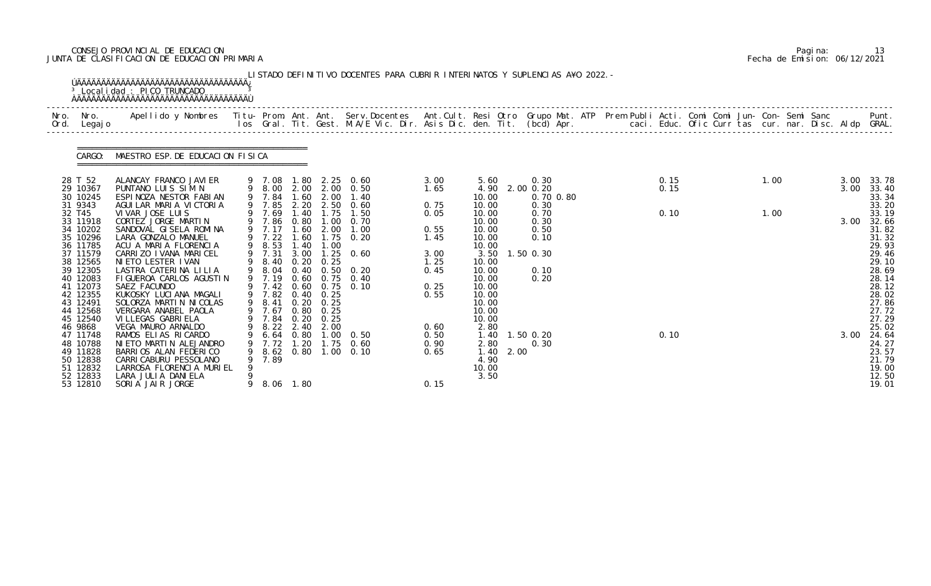### CONSEJO PROVINCIAL DE EDUCACION Pagina: 13 JUNTA DE CLASIFICACION DE EDUCACION PRIMARIA Fecha de Emision: 06/12/2021

|              |                                                                      | <sup>3</sup> Localidad : PICO TRUNCADO                                                                                                                                                                                            |   |                                                        |                      |                                        | LISTADO DEFINITIVO DOCENTES PARA CUBRIR INTERINATOS Y SUPLENCIAS A¥O 2022. - |                              |                                                    |                           |              |  |              |  |      |              |                                                    |
|--------------|----------------------------------------------------------------------|-----------------------------------------------------------------------------------------------------------------------------------------------------------------------------------------------------------------------------------|---|--------------------------------------------------------|----------------------|----------------------------------------|------------------------------------------------------------------------------|------------------------------|----------------------------------------------------|---------------------------|--------------|--|--------------|--|------|--------------|----------------------------------------------------|
| Nro.<br>Ord. | Nro.<br>Legaj o                                                      | Apellido y Nombres  Titu- Prom. Ant. Ant. Serv.Docentes  Ant.Cult. Resi Otro Grupo Mat. ATP Prem Publi Acti. Comi Comi Jun- Con- Semi Sanc           Punt.<br>Ios Gral. Tit. Gest. M.A/E Vic. Dir. Asis Dic. den. Tit. (bcd) Apr. |   |                                                        |                      |                                        |                                                                              |                              |                                                    |                           |              |  |              |  |      |              |                                                    |
|              | CARGO:                                                               | MAESTRO ESP. DE EDUCACION FISICA                                                                                                                                                                                                  |   |                                                        |                      |                                        |                                                                              |                              |                                                    |                           |              |  |              |  |      |              |                                                    |
|              | 28 T 52<br>29 10367<br>30 10245                                      | ALANCAY FRANCO JAVIER<br>PUNTANO LUIS SIM N<br>ESPINOZA NESTOR FABIAN                                                                                                                                                             |   | 9 7.08<br>9 7.84                                       | 1.60                 | 2.00                                   | 1.80 2.25 0.60<br>9 8.00 2.00 2.00 0.50<br>1.40                              | 3.00<br>1.65                 | 5.60<br>4.90<br>10.00                              | 0.30<br>2.00 0.20         | 0.70 0.80    |  | 0.15<br>0.15 |  | 1.00 | 3.00<br>3.00 | 33.78<br>33.40<br>33.34                            |
|              | 31 9343<br>32 T45<br>33 11918<br>34 10202<br>35 10296                | AGUILAR MARIA VICTORIA<br>VI VAR JOSE LUIS<br>CORTEZ JORGE MARTIN<br>SANDOVAL GISELA ROMINA<br>LARA GONZALO MANUEL                                                                                                                |   | 9 7.85<br>9 7.69<br>9 7.86<br>9 7.17<br>9 7.22         | 2.20<br>0.80<br>1.60 | 2.50<br>1.40 1.75<br>1.00<br>2.00      | 0.60<br>1.50<br>0.70<br>1.00<br>1.60 1.75 0.20                               | 0.75<br>0.05<br>0.55<br>1.45 | 10.00<br>10.00<br>10.00<br>10.00<br>10.00          | 0.30<br>0.50<br>0.10      | 0.70<br>0.30 |  | 0.10         |  | 1.00 | 3.00         | 33.20<br>33.19<br>32.66<br>31.82<br>31.32          |
|              | 36 11785<br>37 11579<br>38 12565<br>39 12305                         | ACU A MARIA FLORENCIA<br>CARRIZO I VANA MARICEL<br>NI ETO LESTER I VAN<br>LASTRA CATERINA LILIA                                                                                                                                   |   | 9 8.53<br>9 7.31<br>$9$ $8.40$<br>$9$ $8.04$<br>9 7.19 | 1.40<br>3.00<br>0.40 | 1.00<br>$0.20 \quad 0.25$              | $1.25 \quad 0.60$<br>$0.50 \quad 0.20$<br>0.60 0.75 0.40                     | 3.00<br>1.25<br>0.45         | 10.00<br>3.50<br>10.00<br>10.00                    | $1.50$ 0.30               | 0.10         |  |              |  |      |              | 29.93<br>29.46<br>29.10<br>28.69                   |
|              | 40 12083<br>41 12073<br>42 12355<br>43 12491<br>44 12568<br>45 12540 | FIGUEROA CARLOS AGUSTIN<br>SAEZ FACUNDO<br>KUKOSKY LUCIANA MAGALI<br>SOLORZA MARTIN NICOLAS<br>VERGARA ANABEL PAOLA<br>VI LLEGAS GABRI ELA                                                                                        |   | 9 7.82<br>9 8.41<br>9 7.67<br>9 7.84                   | 0.40<br>0.20         | 0.25<br>0.25<br>0.80 0.25<br>0.20 0.25 | 9 7.42 0.60 0.75 0.10                                                        | 0.25<br>0.55                 | 10.00<br>10.00<br>10.00<br>10.00<br>10.00<br>10.00 | 0.20                      |              |  |              |  |      |              | 28.14<br>28.12<br>28.02<br>27.86<br>27.72<br>27.29 |
|              | 46 9868<br>47 11748<br>48 10788<br>49 11828<br>50 12838<br>51 12832  | VEGA MAURO ARNALDO<br>RAMOS ELIAS RICARDO<br>NI ETO MARTI N ALEJANDRO<br>BARRIOS ALAN FEDERICO<br>CARRI CABURU PESSOLANO<br>LARROSA FLORENCIA MURIEL                                                                              | 9 | 6.64<br>7.72<br>8.62<br>7.89                           | 0.80<br>1.20<br>0.80 | 9 8.22 2.40 2.00<br>1.00<br>1.00       | 0.50<br>$1.75$ 0.60<br>0.10                                                  | 0.60<br>0.50<br>0.90<br>0.65 | 2.80<br>1.40<br>2.80<br>1.40<br>4.90<br>10.00      | 1.50 0.20<br>0.30<br>2.00 |              |  | 0.10         |  |      | 3.00         | 25.02<br>24.64<br>24.27<br>23.57<br>21.79<br>19.00 |
|              | 52 12833<br>53 12810                                                 | LARA JULIA DANIELA<br>SORIA JAIR JORGE                                                                                                                                                                                            | 9 |                                                        | 8.06 1.80            |                                        |                                                                              | 0.15                         | 3.50                                               |                           |              |  |              |  |      |              | 12.50<br>19.01                                     |

|  | Pagi na: | 13                           |
|--|----------|------------------------------|
|  |          | Fecha de Emision: 06/12/2021 |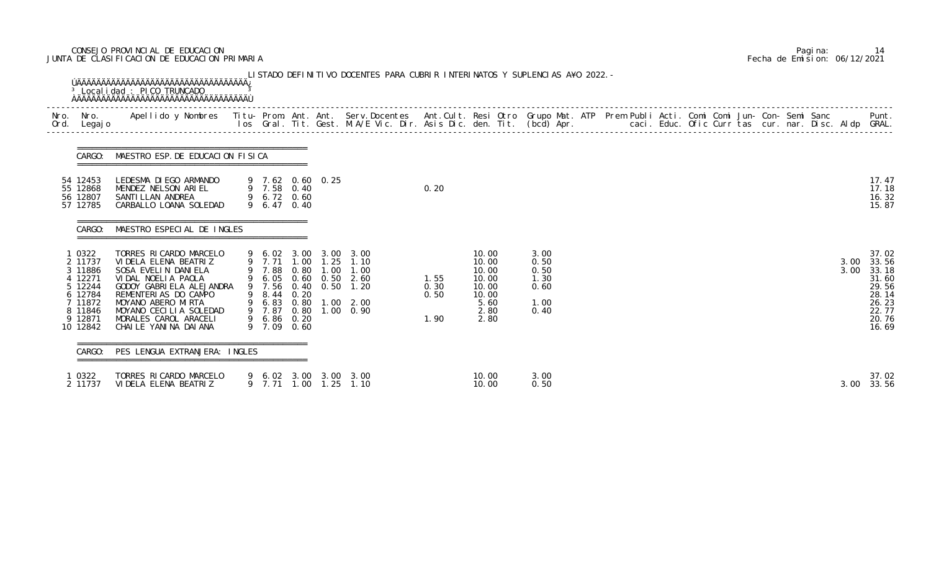### CONSEJO PROVINCIAL DE EDUCACION Pagina: 14 JUNTA DE CLASIFICACION DE EDUCACION PRIMARIA Fecha de Emision: 06/12/2021

| Nro. | Nro.<br>Ord. Legajo                                                                                        | Apellido y Nombres - Titu- Prom. Ant. Ant. Serv.Docentes - Ant.Cult. Resi Otro Grupo Mat. ATP Prem Publi Acti. Comi Comi Jun- Con- Semi Sanc - - - - Punt.<br>Ios Gral. Tit. Gest. M.A/E Vic. Dir. Asis Dic. den. Tit. (bcd) Apr.                  |                                                                    |                      |                  |                                                                                                                                                 |                              |                                                                            |                                                      |  |  |  |  |  |              |                                                                                        |
|------|------------------------------------------------------------------------------------------------------------|----------------------------------------------------------------------------------------------------------------------------------------------------------------------------------------------------------------------------------------------------|--------------------------------------------------------------------|----------------------|------------------|-------------------------------------------------------------------------------------------------------------------------------------------------|------------------------------|----------------------------------------------------------------------------|------------------------------------------------------|--|--|--|--|--|--------------|----------------------------------------------------------------------------------------|
|      |                                                                                                            | CARGO: MAESTRO ESP. DE EDUCACION FISICA                                                                                                                                                                                                            |                                                                    |                      |                  |                                                                                                                                                 |                              |                                                                            |                                                      |  |  |  |  |  |              |                                                                                        |
|      | 54 12453<br>55 12868<br>56 12807<br>57 12785                                                               | LEDESMA DI EGO ARMANDO<br>MENDEZ NELSON ARIEL<br>SANTI LLAN ANDREA<br>CARBALLO LOANA SOLEDAD                                                                                                                                                       | 9 7.58 0.40<br>9 6.72 0.60<br>9 6.47                               | 0.40                 | 9 7.62 0.60 0.25 |                                                                                                                                                 | 0.20                         |                                                                            |                                                      |  |  |  |  |  |              | 17.47<br>17.18<br>16.32<br>15.87                                                       |
|      | CARGO:                                                                                                     | MAESTRO ESPECIAL DE INGLES                                                                                                                                                                                                                         |                                                                    |                      |                  |                                                                                                                                                 |                              |                                                                            |                                                      |  |  |  |  |  |              |                                                                                        |
|      | 1 0322<br>2 11737<br>3 11886<br>4 12271<br>5 12244<br>6 12784<br>7 11872<br>8 11846<br>9 12871<br>10 12842 | TORRES RICARDO MARCELO<br>VI DELA ELENA BEATRIZ<br>SOSA EVELIN DANIELA<br>VIDAL NOELIA PAOLA<br>GODOY GABRI ELA ALEJANDRA<br>REMENTERIAS DO CAMPO<br>MOYANO ABERO MIRTA<br>MOYANO CECILIA SOLEDAD<br>MORALES CAROL ARACELI<br>CHAILE YANINA DAIANA | 9 7.88<br>9 7.56<br>9 8.44<br>9 7.87<br>9 6.86 0.20<br>9 7.09 0.60 | 0.80<br>0.20<br>0.80 | 1.00             | 9 6.02 3.00 3.00 3.00<br>9 7.71 1.00 1.25 1.10<br>1.00<br>9 6.05 0.60 0.50 2.60<br>0.40 0.50 1.20<br>9 6.83 0.80 1.00 2.00<br>$1.00 \quad 0.90$ | 1.55<br>0.30<br>0.50<br>1.90 | 10.00<br>10.00<br>10.00<br>10.00<br>10.00<br>10.00<br>5.60<br>2.80<br>2.80 | 3.00<br>0.50<br>0.50<br>1.30<br>0.60<br>1.00<br>0.40 |  |  |  |  |  | 3.00<br>3.00 | 37.02<br>33.56<br>33.18<br>31.60<br>29.56<br>28.14<br>26.23<br>22.77<br>20.76<br>16.69 |
|      | CARGO:                                                                                                     | PES LENGUA EXTRANJERA: INGLES                                                                                                                                                                                                                      |                                                                    |                      |                  |                                                                                                                                                 |                              |                                                                            |                                                      |  |  |  |  |  |              |                                                                                        |
|      | 1 0322<br>2 11737                                                                                          | TORRES RICARDO MARCELO<br>VIDELA ELENA BEATRIZ                                                                                                                                                                                                     |                                                                    |                      |                  | 9 6.02 3.00 3.00 3.00<br>9 7.71 1.00 1.25 1.10                                                                                                  |                              | 10.00<br>10.00                                                             | 3.00<br>0.50                                         |  |  |  |  |  | 3.00         | 37.02<br>33.56                                                                         |

|  | Pagi na: | 14                           |
|--|----------|------------------------------|
|  |          | Fecha de Emision: 06/12/2021 |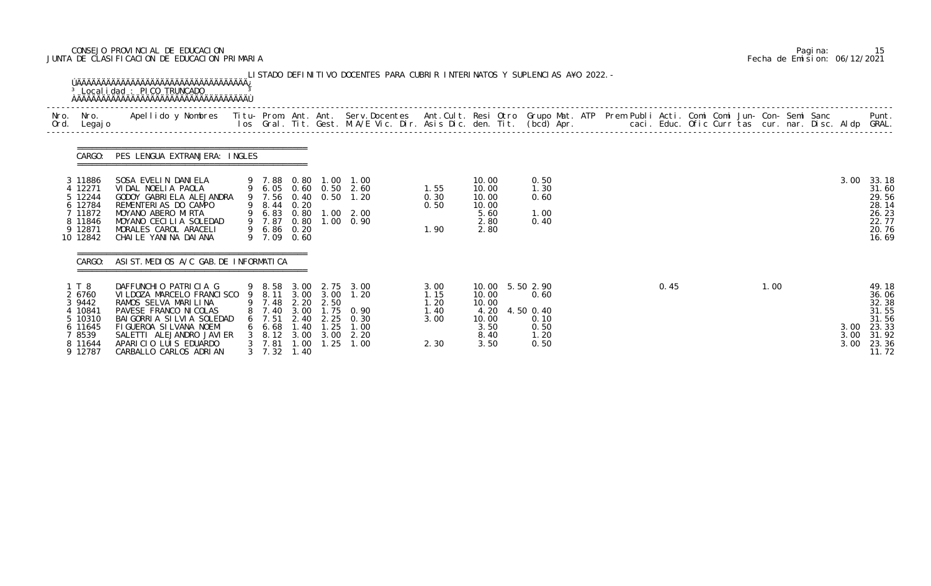### CONSEJO PROVINCIAL DE EDUCACION Pagina: 15 JUNTA DE CLASIFICACION DE EDUCACION PRIMARIA Fecha de Emision: 06/12/2021

| Nro.<br>Ord. | Nro.<br>Legaj o                                                                            | Apellido y Nombres  Titu- Prom. Ant. Ant. Serv.Docentes  Ant.Cult. Resi Otro Grupo Mat. ATP Prem Publi Acti. Comi Comi Jun- Con- Semi Sanc             Punt.<br>Ios Gral. Tit. Gest. M.A/E Vic. Dir. Asis Dic. den. Tit. (bcd) Ap               |                                                                                    |                                              |                                              |                                                                                                           |                                              |                                                                  |                                                                |  |  |      |  |      |  |                      |                                                                               |
|--------------|--------------------------------------------------------------------------------------------|-------------------------------------------------------------------------------------------------------------------------------------------------------------------------------------------------------------------------------------------------|------------------------------------------------------------------------------------|----------------------------------------------|----------------------------------------------|-----------------------------------------------------------------------------------------------------------|----------------------------------------------|------------------------------------------------------------------|----------------------------------------------------------------|--|--|------|--|------|--|----------------------|-------------------------------------------------------------------------------|
|              | CARGO:                                                                                     | PES LENGUA EXTRANJERA: INGLES                                                                                                                                                                                                                   |                                                                                    |                                              |                                              |                                                                                                           |                                              |                                                                  |                                                                |  |  |      |  |      |  |                      |                                                                               |
|              | 3 11886<br>4 12271<br>5 12244<br>6 12784<br>7 11872<br>8 11846<br>9 12871<br>10 12842      | SOSA EVELIN DANIELA<br>VIDAL NOELIA PAOLA<br>GODOY GABRIELA ALEJANDRA<br>REMENTERIAS DO CAMPO<br>MOYANO ABERO MIRTA<br>MOYANO CECILIA SOLEDAD<br>MORALES CAROL ARACELI<br>CHAILE YANINA DAIANA                                                  | 9 7.88<br>9 8.44<br>9 7.87<br>9 6.86 0.20<br>9 7.09                                | 0.80<br>0.20<br>0.80<br>0.60                 |                                              | 1.00 1.00<br>9 6.05 0.60 0.50 2.60<br>9 7.56 0.40 0.50 1.20<br>9 6.83 0.80 1.00 2.00<br>$1.00 \quad 0.90$ | 1.55<br>0.30<br>0.50<br>1.90                 | 10.00<br>10.00<br>10.00<br>10.00<br>5.60<br>2.80<br>2.80         | 0.50<br>1.30<br>0.60<br>1.00<br>0.40                           |  |  |      |  |      |  | 3.00                 | 33.18<br>31.60<br>29.56<br>28.14<br>26.23<br>22.77<br>20.76<br>16.69          |
|              | CARGO:                                                                                     | ASI ST. MEDIOS A/C GAB. DE INFORMATICA                                                                                                                                                                                                          |                                                                                    |                                              |                                              |                                                                                                           |                                              |                                                                  |                                                                |  |  |      |  |      |  |                      |                                                                               |
|              | 1 T 8<br>2 6760<br>3 9442<br>4 10841<br>5 10310<br>6 11645<br>7 8539<br>8 11644<br>9 12787 | DAFFUNCHIO PATRICIA G<br>VI LDOZA MARCELO FRANCI SCO<br>RAMOS SELVA MARILINA<br>PAVESE FRANCO NI COLAS<br>BAI GORRI A SI LVI A SOLEDAD<br>FIGUEROA SILVANA NOEMI<br>SALETTI ALEJANDRO JAVIER<br>APARICIO LUIS EDUARDO<br>CARBALLO CARLOS ADRIAN | 9 7.48<br>8 7.40<br>$6$ 7.51<br>66.68<br>3 8.12 3.00<br>$3$ 7.81<br>$3 \quad 7.32$ | 2.20<br>3.00<br>2.40<br>1.40<br>1.00<br>1.40 | 2.50<br>1.75<br>2.25<br>1.25<br>3.00<br>1.25 | 9 8.58 3.00 2.75 3.00<br>9 8.11 3.00 3.00 1.20<br>0.90<br>0.30<br>1.00<br>2.20<br>1.00                    | 3.00<br>1.15<br>1.20<br>1.40<br>3.00<br>2.30 | 10.00<br>10.00<br>10.00<br>4.20<br>10.00<br>3.50<br>8.40<br>3.50 | 5.50 2.90<br>0.60<br>4.50 0.40<br>0.10<br>0.50<br>1.20<br>0.50 |  |  | 0.45 |  | 1.00 |  | 3.00<br>3.00<br>3.00 | 49.18<br>36.06<br>32.38<br>31.55<br>31.56<br>23.33<br>31.92<br>23.36<br>11.72 |

|  | Pagi na: | 15                           |
|--|----------|------------------------------|
|  |          | Fecha de Emision: 06/12/2021 |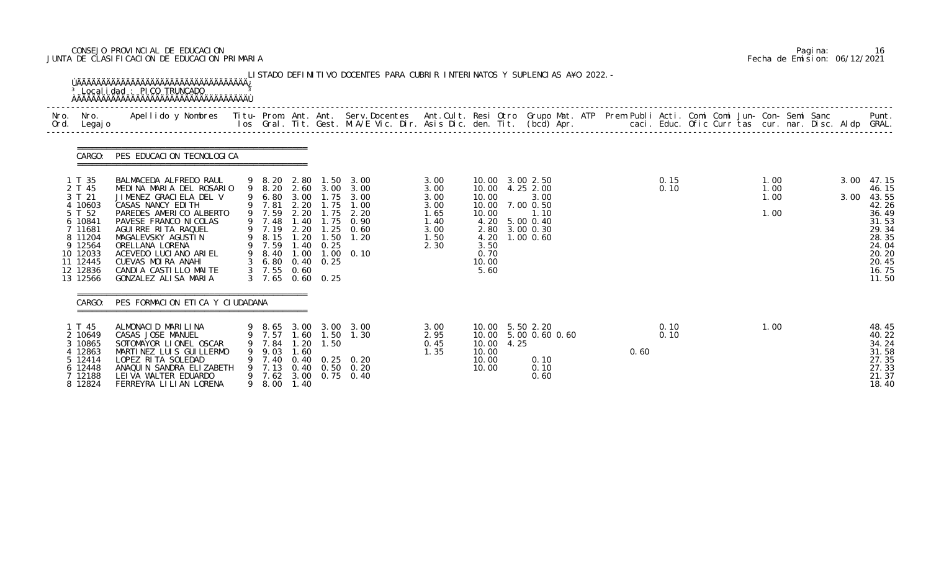### CONSEJO PROVINCIAL DE EDUCACION Pagina: 16 JUNTA DE CLASIFICACION DE EDUCACION PRIMARIA Fecha de Emision: 06/12/2021

| Nro.<br>Ord. | Nro.<br>Legaj o                                                                                                                             | Apellido y Nombres - Titu- Prom. Ant. Ant. Serv.Docentes - Ant.Cult. Resi Otro Grupo Mat. ATP Prem Publi Acti. Comi Comi Jun- Con- Semi Sanc - - - Punt.<br>Ios Gral. Tit. Gest. M.A/E Vic. Dir. Asis Dic. den. Tit. (bcd) Apr. -                                                                                      |                                                                                                                     |                                              |                                                                                                                                    |                                                                                                                        |                                                                      |                                                 |                                                                                                                             |  |      |              |  |                              |  |              |                                                                                                                   |
|--------------|---------------------------------------------------------------------------------------------------------------------------------------------|------------------------------------------------------------------------------------------------------------------------------------------------------------------------------------------------------------------------------------------------------------------------------------------------------------------------|---------------------------------------------------------------------------------------------------------------------|----------------------------------------------|------------------------------------------------------------------------------------------------------------------------------------|------------------------------------------------------------------------------------------------------------------------|----------------------------------------------------------------------|-------------------------------------------------|-----------------------------------------------------------------------------------------------------------------------------|--|------|--------------|--|------------------------------|--|--------------|-------------------------------------------------------------------------------------------------------------------|
|              | CARGO:                                                                                                                                      | PES EDUCACION TECNOLOGICA                                                                                                                                                                                                                                                                                              |                                                                                                                     |                                              |                                                                                                                                    |                                                                                                                        |                                                                      |                                                 |                                                                                                                             |  |      |              |  |                              |  |              |                                                                                                                   |
|              | 1 T 35<br>2 T 45<br>3 T 21<br>4 10603<br>5 T 52<br>6 10841<br>7 11681<br>8 11204<br>9 12564<br>10 12033<br>11 12445<br>12 12836<br>13 12566 | BALMACEDA ALFREDO RAUL<br>MEDINA MARIA DEL ROSARIO<br>JIMENEZ GRACIELA DEL V<br>CASAS NANCY EDITH<br>PAREDES AMERICO ALBERTO<br>PAVESE FRANCO NI COLAS<br>AGUIRRE RITA RAQUEL<br>MAGALEVSKY AGUSTIN<br>ORELLANA LORENA<br>ACEVEDO LUCIANO ARIEL<br>CUEVAS MOIRA ANAHI<br>CANDIA CASTILLO MAITE<br>GONZALEZ ALISA MARIA | 9 6.80 3.00<br>9 7.81 2.20<br>9 7.59<br>9 7.48<br>9 7.19<br>9 8.15<br>9 7.59<br>9 8.40<br>$3\quad 6.80$<br>$3$ 7.55 | 2.20<br>1.40<br>2.20<br>1.20<br>1.00<br>0.60 | 9 8.20 2.80 1.50<br>9 8.20 2.60 3.00<br>1.75<br>1.75<br>1.75<br>1.50<br>$1.40 \quad 0.25$<br>$0.40 \quad 0.25$<br>3 7.65 0.60 0.25 | 3.00<br>3.00<br>1.75 3.00<br>1.00<br>2.20<br>0.90<br>$1.25 \quad 0.60$<br>1.20<br>$1.00 \quad 0.10$                    | 3.00<br>3.00<br>3.00<br>3.00<br>1.65<br>1.40<br>3.00<br>1.50<br>2.30 | 10.00<br>10.00<br>3.50<br>0.70<br>10.00<br>5.60 | 10.00 3.00 2.50<br>10.00 4.25 2.00<br>3.00<br>10.00 7.00 0.50<br>1.10<br>4.20 5.00 0.40<br>2.80 3.00 0.30<br>4.20 1.00 0.60 |  |      | 0.15<br>0.10 |  | 1.00<br>1.00<br>1.00<br>1.00 |  | 3.00<br>3.00 | 47.15<br>46.15<br>43.55<br>42.26<br>36.49<br>31.53<br>29.34<br>28.35<br>24.04<br>20.20<br>20.45<br>16.75<br>11.50 |
|              | CARGO:                                                                                                                                      | PES FORMACION ETICA Y CIUDADANA                                                                                                                                                                                                                                                                                        |                                                                                                                     |                                              |                                                                                                                                    |                                                                                                                        |                                                                      |                                                 |                                                                                                                             |  |      |              |  |                              |  |              |                                                                                                                   |
|              | 1 T 45<br>2 10649<br>10865<br>12863<br>5 12414<br>6 12448<br>7 12188<br>8 12824                                                             | ALMONACID MARILINA<br>CASAS JOSE MANUEL<br>SOTOMAYOR LIONEL OSCAR<br>MARTINEZ LUIS GUILLERMO<br>LOPEZ RITA SOLEDAD<br>ANAQUIN SANDRA ELIZABETH<br>LEIVA WALTER EDUARDO<br>FERREYRA LILIAN LORENA                                                                                                                       | 7.57<br>9 7.84<br>9.03<br>7.40<br>7.13<br>8.00                                                                      | 1.60<br>1.20<br>1.60<br>1.40                 | 1.50<br>1.50                                                                                                                       | 9 8.65 3.00 3.00 3.00<br>1.30<br>$0.40 \quad 0.25 \quad 0.20$<br>$0.40 \quad 0.50 \quad 0.20$<br>9 7.62 3.00 0.75 0.40 | 3.00<br>2.95<br>0.45<br>1.35                                         | 10.00 4.25<br>10.00<br>10.00<br>10.00           | 10.00 5.50 2.20<br>10.00 5.00 0.60 0.60<br>0.10<br>0.10<br>0.60                                                             |  | 0.60 | 0.10<br>0.10 |  | 1.00                         |  |              | 48.45<br>40.22<br>34.24<br>31.58<br>27.35<br>27.33<br>21.37<br>18.40                                              |

|  | Pagi na: | 16                           |
|--|----------|------------------------------|
|  |          | Fecha de Emision: 06/12/2021 |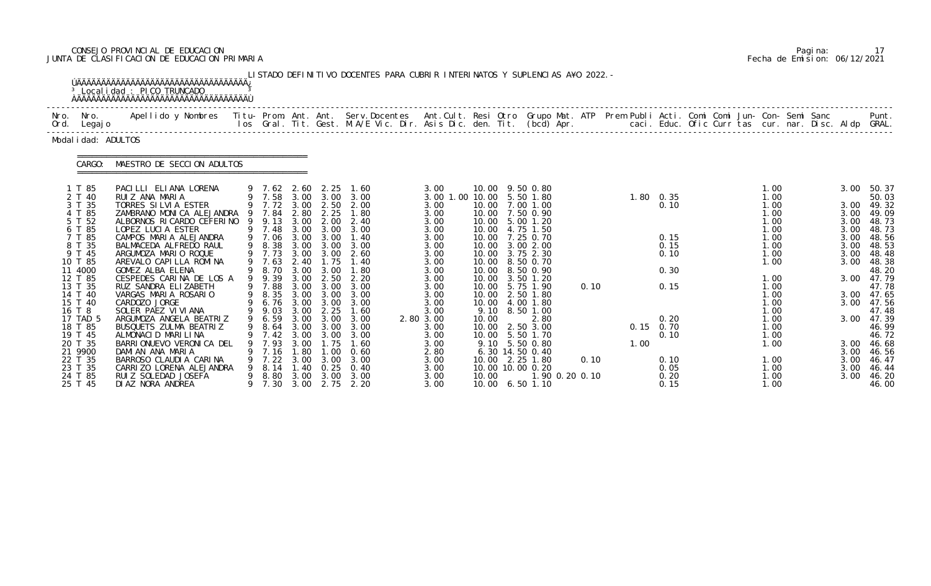# CONSEJO PROVINCIAL DE EDUCACION Pagina: 17 JUNTA DE CLASIFICACION DE EDUCACION PRIMARIA Fecha de Emision: 06/12/2021

|              |                                                                                                                                                                                           | <sup>3</sup> Local i dad : PICO TRUNCADO                                                                                                                                                                                                                                                                                                                                                                                                                 |                    |                                                                                                                                                            |                                                                                                      |                                                                                                                                                                | LISTADO DEFINITIVO DOCENTES PARA CUBRIR INTERINATOS Y SUPLENCIAS A¥O 2022. -                                                                                  |                                                                                                                                                              |                        |                                                                                                                                                                                                                                                                                                                       |      |      |                                                                                                |                                                      |                                                                                                                                      |  |                                                                                              |                                                                                                                                                                     |
|--------------|-------------------------------------------------------------------------------------------------------------------------------------------------------------------------------------------|----------------------------------------------------------------------------------------------------------------------------------------------------------------------------------------------------------------------------------------------------------------------------------------------------------------------------------------------------------------------------------------------------------------------------------------------------------|--------------------|------------------------------------------------------------------------------------------------------------------------------------------------------------|------------------------------------------------------------------------------------------------------|----------------------------------------------------------------------------------------------------------------------------------------------------------------|---------------------------------------------------------------------------------------------------------------------------------------------------------------|--------------------------------------------------------------------------------------------------------------------------------------------------------------|------------------------|-----------------------------------------------------------------------------------------------------------------------------------------------------------------------------------------------------------------------------------------------------------------------------------------------------------------------|------|------|------------------------------------------------------------------------------------------------|------------------------------------------------------|--------------------------------------------------------------------------------------------------------------------------------------|--|----------------------------------------------------------------------------------------------|---------------------------------------------------------------------------------------------------------------------------------------------------------------------|
| Nro.<br>Ord. | Nro.<br>Legaj o                                                                                                                                                                           | <u>ŇÄÄÄÄÄÄÄÄÄÄÄÄÄÄÄÄÄÄÄÄÄÄÄÄÄÄÄÄÄÄÄÄÄÄ</u><br>Apellido y Nombres - Titu- Prom. Ant. Ant. Serv.Docentes - Ant.Cult. Resi Otro Grupo Mat. ATP - Prem Publi Acti. Comi Comi Jun- Con- Semi Sanc                                                                                                                                                                                                                                                             |                    |                                                                                                                                                            |                                                                                                      |                                                                                                                                                                | los Gral. Tit. Gest. M.A/E Vic. Dir. Asis Dic. den. Tit. (bcd) Apr.                                                                                           |                                                                                                                                                              |                        |                                                                                                                                                                                                                                                                                                                       |      |      |                                                                                                | caci. Educ. Ofic Curr tas cur. nar. Disc. Aldp GRAL. |                                                                                                                                      |  |                                                                                              | Punt.                                                                                                                                                               |
|              | Modal i dad: ADULTOS                                                                                                                                                                      |                                                                                                                                                                                                                                                                                                                                                                                                                                                          |                    |                                                                                                                                                            |                                                                                                      |                                                                                                                                                                |                                                                                                                                                               |                                                                                                                                                              |                        |                                                                                                                                                                                                                                                                                                                       |      |      |                                                                                                |                                                      |                                                                                                                                      |  |                                                                                              |                                                                                                                                                                     |
|              | CARGO:                                                                                                                                                                                    | MAESTRO DE SECCION ADULTOS                                                                                                                                                                                                                                                                                                                                                                                                                               |                    |                                                                                                                                                            |                                                                                                      |                                                                                                                                                                |                                                                                                                                                               |                                                                                                                                                              |                        |                                                                                                                                                                                                                                                                                                                       |      |      |                                                                                                |                                                      |                                                                                                                                      |  |                                                                                              |                                                                                                                                                                     |
|              | 1 T 85<br>2 T 40<br>3 T 35<br>4 T 85<br>5 T 52<br>6 T 85<br>7 T 85<br>8 T 35<br>9 T 45<br>10 T 85<br>11 4000<br>12 T 85<br>13 T 35<br>14 T 40<br>15 T 40<br>16 T 8<br>17 TAD 5<br>18 T 85 | PACILLI ELIANA LORENA<br>RUIZ ANA MARIA<br>TORRES SILVIA ESTER<br>ZAMBRANO MONICA ALEJANDRA<br>ALBORNOS RICARDO CEFERINO 9 9.13<br>LOPEZ LUCIA ESTER<br>CAMPOS MARIA ALEJANDRA<br>BALMACEDA ALFREDO RAUL<br>ARGUMOZA MARIO ROQUE<br>AREVALO CAPILLA ROMINA<br>GOMEZ ALBA ELENA<br>CESPEDES CARINA DE LOS A<br>RUZ SANDRA ELIZABETH<br>VARGAS MARIA ROSARIO<br>CARDOZO JORGE<br>SOLER PAEZ VI VI ANA<br>ARGUMOZA ANGELA BEATRIZ<br>BUSQUETS ZULMA BEATRIZ | - 9<br>9<br>9<br>9 | $9$ 7.62 2.60<br>9 7.72 3.00<br>7.84<br>9 7.48<br>9 7.06<br>9 8.38<br>9 7.73<br>7.63<br>8.70<br>9.39<br>7.88<br>9 8.35<br>6.76<br>9.03<br>9 6.59<br>9 8.64 | 2.80<br>3.00<br>3.00<br>3.00<br>3.00<br>3.00<br>2.40<br>3.00<br>3.00<br>3.00<br>3.00<br>3.00<br>3.00 | 2.25<br>2.50<br>2.25<br>2.00<br>3.00<br>3.00<br>3.00<br>3.00<br>1.75<br>3.00<br>2.50<br>3.00<br>3.00<br>$3.00 \quad 3.00$<br>2.25<br>3.00<br>$3.00 \quad 3.00$ | 1.60<br>9 7.58 3.00 3.00 3.00<br>2.00<br>1.80<br>2.40<br>3.00<br>1.40<br>3.00<br>2.60<br>1.40<br>1.80<br>2.20<br>3.00<br>3.00<br>3.00<br>1.60<br>3.00<br>3.00 | 3.00<br>3.00 1.00 10.00<br>3.00<br>3.00<br>3.00<br>3.00<br>3.00<br>3.00<br>3.00<br>3.00<br>3.00<br>3.00<br>3.00<br>3.00<br>3.00<br>3.00<br>2.80 3.00<br>3.00 | 10.00<br>9.10<br>10.00 | 10.00 9.50 0.80<br>5.50 1.80<br>10.00 7.00 1.00<br>10.00 7.50 0.90<br>10.00 5.00 1.20<br>10.00 4.75 1.50<br>10.00 7.25 0.70<br>10.00 3.00 2.00<br>10.00 3.75 2.30<br>10.00 8.50 0.70<br>10.00 8.50 0.90<br>10.00 3.50 1.20<br>10.00 5.75 1.90<br>2.50 1.80<br>10.00 4.00 1.80<br>8.50 1.00<br>2.80<br>10.00 2.50 3.00 | 0.10 |      | $1.80 \quad 0.35$<br>0.10<br>0.15<br>0.15<br>0.10<br>0.30<br>0.15<br>0.20<br>$0.15 \quad 0.70$ |                                                      | 1.00<br>1.00<br>1.00<br>1.00<br>1.00<br>1.00<br>1.00<br>1.00<br>1.00<br>1.00<br>1.00<br>1.00<br>1.00<br>1.00<br>1.00<br>1.00<br>1.00 |  | 3.00<br>3.00<br>3.00<br>3.00<br>3.00<br>3.00<br>3.00<br>3.00<br>3.00<br>3.00<br>3.00<br>3.00 | 50.37<br>50.03<br>49.32<br>49.09<br>48.73<br>48.73<br>48.56<br>48.53<br>48.48<br>48.38<br>48.20<br>47.79<br>47.78<br>3.00 47.65<br>47.56<br>47.48<br>47.39<br>46.99 |
|              | 19 T 45<br>20 T 35<br>21 9900<br>22 T 35<br>23 T 35<br>24 T 85<br>25 T 45                                                                                                                 | ALMONACID MARILINA<br>BARRIONUEVO VERONICA DEL<br>DAMIAN ANA MARIA<br>BARROSO CLAUDIA CARINA<br>CARRIZO LORENA ALEJANDRA<br>RUIZ SOLEDAD JOSEFA<br>DIAZ NORA ANDREA                                                                                                                                                                                                                                                                                      |                    | 7.42<br>7.93<br>7.16<br>7.22<br>8.14<br>8.80<br>7.30                                                                                                       | 3.00<br>3.00<br>1.80<br>3.00<br>1.40<br>3.00<br>3.00                                                 | 3.00<br>1.75<br>$\overline{0}$ .<br>3.00<br>0.25<br>3.00                                                                                                       | 3.00<br>1.60<br>0.60<br>3.00<br>0.40<br>3.00<br>2.75 2.20                                                                                                     | 3.00<br>3.00<br>2.80<br>3.00<br>3.00<br>3.00<br>3.00                                                                                                         | 10.00                  | 10.00 5.50 1.70<br>9.10 5.50 0.80<br>$6.30$ 14.50 0.40<br>10.00 2.25 1.80<br>10.00 10.00 0.20<br>1.90 0.20 0.10<br>10.00 6.50 1.10                                                                                                                                                                                    | 0.10 | 1.00 | 0.10<br>0.10<br>0.05<br>0.20<br>0.15                                                           |                                                      | 1.00<br>1.00<br>1.00<br>1.00<br>1.00<br>1.00                                                                                         |  | 3.00<br>3.00<br>3.00<br>3.00                                                                 | 46.72<br>3.00 46.68<br>46.56<br>46.47<br>46.44<br>46.20<br>46.00                                                                                                    |

|  | Pagi na: |                              |
|--|----------|------------------------------|
|  |          | Fecha de Emision: 06/12/2021 |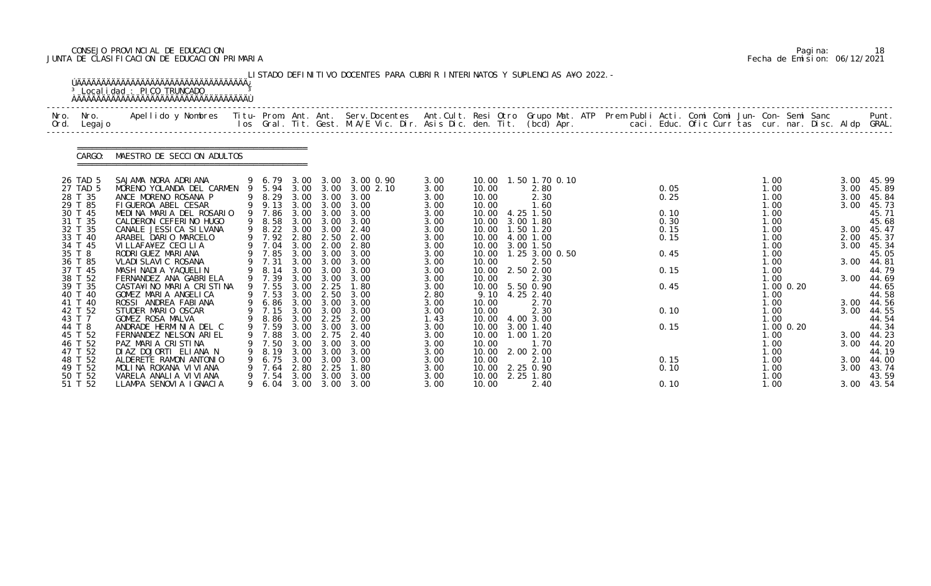### CONSEJO PROVINCIAL DE EDUCACION Pagina: 18 JUNTA DE CLASIFICACION DE EDUCACION PRIMARIA Fecha de Emision: 06/12/2021

|              |                                                                                                                                                                                                                                                          | <sup>3</sup> Local i dad : PICO TRUNCADO                                                                                                                                                                                                                                                                                                                                                                                                                                                                                                                                            |             |                                                                                                                                                                                                                                             |                                                                                                              |                                                                                                                                                                                          | LISTADO DEFINITIVO DOCENTES PARA CUBRIR INTERINATOS Y SUPLENCIAS A¥O 2022. -                                                                                                                            |                                                                                                                                                                                      |                                                                                                                                                                                                   |                                                                                                                                                                                                                                                                               |  |                                                                                              |  |                                                                                                                                                                       |                            |                                                                                                              |                                                                                                                                                                                                             |
|--------------|----------------------------------------------------------------------------------------------------------------------------------------------------------------------------------------------------------------------------------------------------------|-------------------------------------------------------------------------------------------------------------------------------------------------------------------------------------------------------------------------------------------------------------------------------------------------------------------------------------------------------------------------------------------------------------------------------------------------------------------------------------------------------------------------------------------------------------------------------------|-------------|---------------------------------------------------------------------------------------------------------------------------------------------------------------------------------------------------------------------------------------------|--------------------------------------------------------------------------------------------------------------|------------------------------------------------------------------------------------------------------------------------------------------------------------------------------------------|---------------------------------------------------------------------------------------------------------------------------------------------------------------------------------------------------------|--------------------------------------------------------------------------------------------------------------------------------------------------------------------------------------|---------------------------------------------------------------------------------------------------------------------------------------------------------------------------------------------------|-------------------------------------------------------------------------------------------------------------------------------------------------------------------------------------------------------------------------------------------------------------------------------|--|----------------------------------------------------------------------------------------------|--|-----------------------------------------------------------------------------------------------------------------------------------------------------------------------|----------------------------|--------------------------------------------------------------------------------------------------------------|-------------------------------------------------------------------------------------------------------------------------------------------------------------------------------------------------------------|
| Nro.<br>Ord. | Nro.<br>Legaj o                                                                                                                                                                                                                                          | Apellido y Nombres  Titu- Prom. Ant. Ant. Serv.Docentes  Ant.Cult. Resi Otro Grupo Mat. ATP Prem Publi Acti. Comi Comi Jun- Con- Semi Sanc           Punt.<br>Ios Gral. Tit. Gest. M.A/E Vic. Dir. Asis Dic. den. Tit. (bcd) Apr.                                                                                                                                                                                                                                                                                                                                                   |             |                                                                                                                                                                                                                                             |                                                                                                              |                                                                                                                                                                                          |                                                                                                                                                                                                         |                                                                                                                                                                                      |                                                                                                                                                                                                   |                                                                                                                                                                                                                                                                               |  |                                                                                              |  |                                                                                                                                                                       |                            |                                                                                                              |                                                                                                                                                                                                             |
|              | CARGO:                                                                                                                                                                                                                                                   | MAESTRO DE SECCION ADULTOS                                                                                                                                                                                                                                                                                                                                                                                                                                                                                                                                                          |             |                                                                                                                                                                                                                                             |                                                                                                              |                                                                                                                                                                                          |                                                                                                                                                                                                         |                                                                                                                                                                                      |                                                                                                                                                                                                   |                                                                                                                                                                                                                                                                               |  |                                                                                              |  |                                                                                                                                                                       |                            |                                                                                                              |                                                                                                                                                                                                             |
|              | 26 TAD 5<br>27 TAD 5<br>28 T 35<br>29 T 85<br>30 T 45<br>31 T 35<br>32 T 35<br>33 T 40<br>34 T 45<br>35 T 8<br>36 T 85<br>37 T 45<br>38 T 52<br>39 T 35<br>40 T 40<br>41 T 40<br>42 T 52<br>43 T 7<br>44 T 8<br>45 T 52<br>46 T 52<br>47 T 52<br>48 T 52 | SAJAMA NORA ADRIANA<br>MORENO YOLANDA DEL CARMEN<br>ANCE MORENO ROSANA P<br>FIGUEROA ABEL CESAR<br>MEDINA MARIA DEL ROSARIO<br>CALDERON CEFERINO HUGO<br>CANALE JESSICA SILVANA<br>ARABEL DARIO MARCELO<br>VI LLAFA¥EZ CECI LI A<br>RODRI GUEZ MARI ANA<br>VLADI SLAVI C ROSANA<br>MASH NADIA YAQUELIN<br>FERNANDEZ ANA GABRIELA<br>CASTA¥INO MARIA CRISTINA<br>GOMEZ MARIA ANGELICA<br>ROSSI ANDREA FABIANA<br>STUDER MARIO OSCAR<br>GOMEZ ROSA MALVA<br>ANDRADE HERMINIA DEL C<br>FERNANDEZ NELSON ARIEL<br>PAZ MARIA CRISTINA<br>DIAZ DOJORTI ELIANA N<br>ALDERETE RAMON ANTONIO | 9<br>9<br>9 | 9 6.79<br>9 5.94<br>8.29<br>9 9.13<br>9 7.86<br>8.58<br>9 8.22 3.00<br>9 7.92<br>9 7.04<br>9 7.85<br>9 7.31<br>8.14<br>9 7.39<br>9 7.55<br>9 7.53<br>6.86 3.00<br>9 7.15 3.00 3.00<br>9 8.86 3.00<br>9 7.59<br>7.88<br>7.50<br>8.19<br>6.75 | 3.00<br>3.00<br>3.00<br>2.80<br>3.00<br>3.00<br>3.00<br>3.00<br>3.00<br>3.00<br>3.00<br>3.00<br>3.00<br>3.00 | 3.00 3.00<br>3.00<br>3.00<br>3.00 3.00<br>3.00<br>3.00<br>2.50<br>2.00<br>3.00<br>3.00 3.00<br>3.00<br>3.00<br>2.25<br>2.50<br>3.00<br>2.25<br>3.00 3.00<br>2.75<br>3.00<br>3.00<br>3.00 | 3.00 3.00 3.00 0.90<br>3.002.10<br>3.00<br>3.00<br>3.00<br>3.00<br>2.40<br>2.00<br>2.80<br>3.00<br>3.00<br>3.00<br>3.00<br>1.80<br>3.00<br>3.00<br>3.00<br>2.00<br>3.00<br>2.40<br>3.00<br>3.00<br>3.00 | 3.00<br>3.00<br>3.00<br>3.00<br>3.00<br>3.00<br>3.00<br>3.00<br>3.00<br>3.00<br>3.00<br>3.00<br>3.00<br>3.00<br>2.80<br>3.00<br>3.00<br>1.43<br>3.00<br>3.00<br>3.00<br>3.00<br>3.00 | 10.00<br>10.00<br>10.00<br>10.00<br>10.00<br>10.00<br>10.00<br>10.00<br>10.00<br>10.00<br>10.00<br>10.00<br>10.00<br>9.10<br>10.00<br>10.00<br>10.00<br>10.00<br>10.00<br>10.00<br>10.00<br>10.00 | 10.00  1.50  1.70  0.10<br>2.80<br>2.30<br>1.60<br>4.25 1.50<br>3.00 1.80<br>1.50 1.20<br>4.00 1.00<br>3.00 1.50<br>1.25 3.00 0.50<br>2.50<br>2.50 2.00<br>2.30<br>5.50 0.90<br>4.25 2.40<br>2.70<br>2.30<br>4.00 3.00<br>3.00 1.40<br>1.00 1.20<br>1.70<br>2.00 2.00<br>2.10 |  | 0.05<br>0.25<br>0.10<br>0.30<br>0.15<br>0.15<br>0.45<br>0.15<br>0.45<br>0.10<br>0.15<br>0.15 |  | 1.00<br>1.00<br>1.00<br>1.00<br>1.00<br>1.00<br>1.00<br>1.00<br>1.00<br>1.00<br>1.00<br>1.00<br>1.00<br>1.00<br>1.00<br>1.00<br>1.00<br>1. 00<br>1.00<br>1.00<br>1.00 | 1.00 0.20<br>$1.00$ $0.20$ | 3.00<br>3.00<br>3.00<br>3.00<br>3.00<br>2.00<br>3.00<br>3.00<br>3.00<br>3.00<br>3.00<br>3.00<br>3.00<br>3.00 | 45.99<br>45.89<br>45.84<br>45.73<br>45.71<br>45.68<br>45.47<br>45.37<br>45.34<br>45.05<br>44.81<br>44.79<br>44.69<br>44.65<br>44.58<br>44.56<br>44.55<br>44.54<br>44.34<br>44.23<br>44.20<br>44.19<br>44.00 |
|              | 49 T 52<br>50 T 52<br>51 T 52                                                                                                                                                                                                                            | MOLINA ROXANA VIVIANA<br>VARELA ANALIA VI VI ANA<br>LLAMPA SENOVIA IGNACIA                                                                                                                                                                                                                                                                                                                                                                                                                                                                                                          | 9           | 7.64<br>7.54<br>6. 04                                                                                                                                                                                                                       | 2.80<br>3.00                                                                                                 | 2.25<br>3.00<br>$3.00 \quad 3.00$                                                                                                                                                        | 1.80<br>3.00<br>3.00                                                                                                                                                                                    | 3.00<br>3.00<br>3.00                                                                                                                                                                 | 10.00<br>10.00<br>10.00                                                                                                                                                                           | 2.25 0.90<br>2.25 1.80<br>2.40                                                                                                                                                                                                                                                |  | 0.10<br>0.10                                                                                 |  | 1.00<br>1.00<br>1.00                                                                                                                                                  |                            | 3.00<br>3.00                                                                                                 | 43.74<br>43.59<br>43.54                                                                                                                                                                                     |

|  | Pagi na: | 18                           |
|--|----------|------------------------------|
|  |          | Fecha de Emision: 06/12/2021 |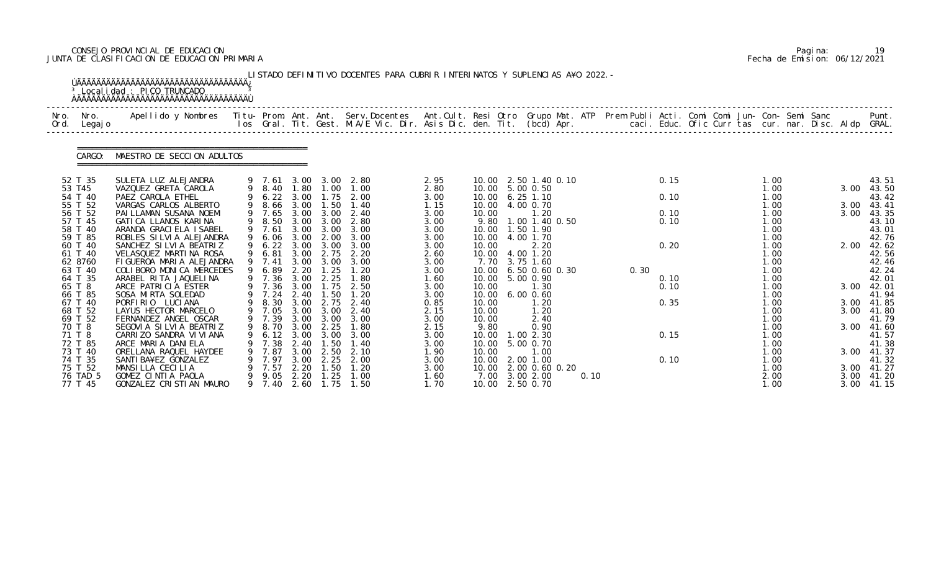### CONSEJO PROVINCIAL DE EDUCACION Pagina: 19 JUNTA DE CLASIFICACION DE EDUCACION PRIMARIA Fecha de Emision: 06/12/2021

| Apellido y Nombres - Titu- Prom. Ant. Ant. Serv.Docentes - Ant.Cult. Resi Otro Grupo Mat. ATP Prem Publi Acti. Comi Comi Jun- Con- Semi Sanc - - - Punt.<br>Ios Gral. Tit. Gest. M.A/E Vic. Dir. Asis Dic. den. Tit. (bcd) Apr. -<br>Nro.<br>Nro.<br>Legaj o<br>Ord. |   |                               |              |                               |              |              |                |                              |      |      |              |  |              |  |              |                |
|----------------------------------------------------------------------------------------------------------------------------------------------------------------------------------------------------------------------------------------------------------------------|---|-------------------------------|--------------|-------------------------------|--------------|--------------|----------------|------------------------------|------|------|--------------|--|--------------|--|--------------|----------------|
| MAESTRO DE SECCION ADULTOS<br>CARGO:                                                                                                                                                                                                                                 |   |                               |              |                               |              |              |                |                              |      |      |              |  |              |  |              |                |
| 52 T 35<br>SULETA LUZ ALEJANDRA                                                                                                                                                                                                                                      |   | 9 7.61 3.00 3.00              |              |                               | 2.80         | 2.95         | 10.00          | 2.50 1.40 0.10               |      |      | 0.15         |  | 1.00         |  |              | 43.51          |
| 53 T45<br>VAZQUEZ GRETA CAROLA                                                                                                                                                                                                                                       |   | 9 8.40                        |              | 1.80 1.00                     | 1.00         | 2.80         | 10.00          | 5.00 0.50                    |      |      |              |  | 1.00         |  | 3.00         | 43.50          |
| 54 T 40<br>PAEZ CAROLA ETHEL<br>55 T 52<br>VARGAS CARLOS ALBERTO                                                                                                                                                                                                     | 9 | $6.22$ $3.00$<br>8.66         | 3.00         | 1.75<br>1.50                  | 2.00<br>1.40 | 3.00<br>1.15 | 10.00<br>10.00 | $6.25$ 1.10<br>4.00 0.70     |      |      | 0.10         |  | 1.00<br>1.00 |  | 3.00         | 43.42<br>43.41 |
| 56 T 52<br>PAI LLAMAN SUSANA NOEMI                                                                                                                                                                                                                                   |   | 9 7.65                        |              | $3.00 \quad 3.00$             | 2.40         | 3.00         | 10.00          | 1.20                         |      |      | 0.10         |  | 1.00         |  | 3.00         | 43.35          |
| 57 T 45<br>GATI CA LLANOS KARI NA                                                                                                                                                                                                                                    |   | 8.50                          | 3.00         | 3.00                          | 2.80         | 3.00         | 9.80           | 1.00 1.40 0.50               |      |      | 0.10         |  | 1.00         |  |              | 43.10          |
| 58 T 40<br>ARANDA GRACIELA ISABEL                                                                                                                                                                                                                                    |   | 9 7.61                        | 3.00         | 3.00                          | 3.00         | 3.00         | 10.00          | 1.50 1.90                    |      |      |              |  | 1.00         |  |              | 43.01          |
| 59 T 85<br>ROBLES SILVIA ALEJANDRA                                                                                                                                                                                                                                   | 9 | 6.06                          | 3.00         | 2.00                          | 3.00         | 3.00         | 10.00          | 4.00 1.70                    |      |      |              |  | 1.00         |  |              | 42.76          |
| 60 T 40<br>SANCHEZ SILVIA BEATRIZ                                                                                                                                                                                                                                    |   | 6.22                          | 3.00         | 3.00                          | 3.00         | 3.00         | 10.00          | 2.20                         |      |      | 0.20         |  | 1.00         |  | 2.00         | 42.62          |
| 61 T 40<br>VELASQUEZ MARTINA ROSA                                                                                                                                                                                                                                    |   | 6.81                          | 3.00         | 2.75                          | 2.20         | 2.60         | 10.00          | 4.00 1.20                    |      |      |              |  | 1.00         |  |              | 42.56          |
| 62 8760<br>FIGUEROA MARIA ALEJANDRA                                                                                                                                                                                                                                  |   | 9 7.41                        | 3.00         | 3.00                          | 3.00         | 3.00         | 7.70           | 3.75 1.60                    |      |      |              |  | 1.00         |  |              | 42.46          |
| 63 T 40<br>COLIBORO MONICA MERCEDES                                                                                                                                                                                                                                  |   | 6.89                          | 2.20         | $\overline{\phantom{0}}$ . 25 | 1.20         | 3.00         | 10.00          | $6.50$ $0.60$ $0.30$         |      | 0.30 |              |  | 1.00         |  |              | 42.24          |
| 64 T 35<br>ARABEL RITA JAQUELINA<br>65 T 8<br>ARCE PATRICIA ESTER                                                                                                                                                                                                    |   | 9 7.36<br>9 7.36              | 3.00<br>3.00 | 2.25<br>1.75                  | 1.80<br>2.50 | 1.60         | 10.00<br>10.00 | 5.00 0.90<br>1.30            |      |      | 0.10<br>0.10 |  | 1.00<br>1.00 |  | 3.00         | 42.01<br>42.01 |
| 66 T 85<br>SOSA MIRTA SOLEDAD                                                                                                                                                                                                                                        |   | 7.24                          | 2.40         | 1.50                          | 1.20         | 3.00<br>3.00 | 10.00          | $6.00$ $0.60$                |      |      |              |  | 1.00         |  |              | 41.94          |
| 67 T 40<br>PORFIRIO LUCIANA                                                                                                                                                                                                                                          |   | 8.30                          | 3.00         | 2.75                          | 2.40         | 0.85         | 10.00          | 1.20                         |      |      | 0.35         |  | 1.00         |  | 3.00         | 41.85          |
| LAYUS HECTOR MARCELO<br>68 T 52                                                                                                                                                                                                                                      |   | 9 7.05                        |              | 3.00 3.00                     | 2.40         | 2.15         | 10.00          | 1.20                         |      |      |              |  | 1.00         |  | 3.00         | 41.80          |
| 69 T 52<br>FERNANDEZ ANGEL OSCAR                                                                                                                                                                                                                                     |   | 9 7.39                        | 3.00         | 3.00                          | 3.00         | 3.00         | 10.00          | 2.40                         |      |      |              |  | 1.00         |  |              | 41.79          |
| 70 T 8<br>SEGOVIA SILVIA BEATRIZ                                                                                                                                                                                                                                     |   | 9 8.70 3.00                   |              | 2.25                          | 1.80         | 2.15         | 9.80           | 0.90                         |      |      |              |  | 1.00         |  |              | 3.00 41.60     |
| 71 T 8<br>CARRIZO SANDRA VI VI ANA                                                                                                                                                                                                                                   |   | 6.12                          | 3.00         | 3.00                          | 3.00         | 3.00         |                | 10.00  1.00  2.30            |      |      | 0.15         |  | 1.00         |  |              | 41.57          |
| 72 T 85<br>ARCE MARIA DANIELA                                                                                                                                                                                                                                        |   | 7.38                          | 2.40         | . 50                          | 1.40         | 3.00         | 10.00          | 5.00 0.70                    |      |      |              |  | 1.00         |  |              | 41.38          |
| 73 T 40<br>ORELLANA RAQUEL HAYDEE                                                                                                                                                                                                                                    |   | 7.87                          | 3.00         | 2.50                          | 2.10         | 1.90         | 10.00          | 1.00                         |      |      |              |  | 1.00         |  | 3.00         | 41.37          |
| 74 T 35<br>SANTI BA¥EZ GONZALEZ                                                                                                                                                                                                                                      |   | 7.97                          | 3.00         | 2.25                          | 2.00         | 3.00         | 10.00          | 2.00 1.00                    |      |      | 0.10         |  | 1.00         |  |              | 41.32          |
| MANSILLA CECILIA<br>75 T 52                                                                                                                                                                                                                                          |   | 7.57                          | 2.20         | $\overline{\phantom{0}}$ . 50 | 1.20         | 3.00         | 10.00          | 2.00 0.60 0.20               |      |      |              |  | 1.00         |  | 3.00         | 41.27          |
| 76 TAD 5<br>GOMEZ CINTIA PAOLA<br>77 T 45<br>GONZALEZ CRISTIAN MAURO                                                                                                                                                                                                 |   | 9.05<br>9 7.40 2.60 1.75 1.50 | 2.20         | 1.25                          | 1.00         | 1.60<br>1.70 | 7.00           | 3.00 2.00<br>10.00 2.50 0.70 | 0.10 |      |              |  | 2.00<br>1.00 |  | 3.00<br>3.00 | 41.20<br>41.15 |

|  | Pagi na: |                              |
|--|----------|------------------------------|
|  |          | Fecha de Emision: 06/12/2021 |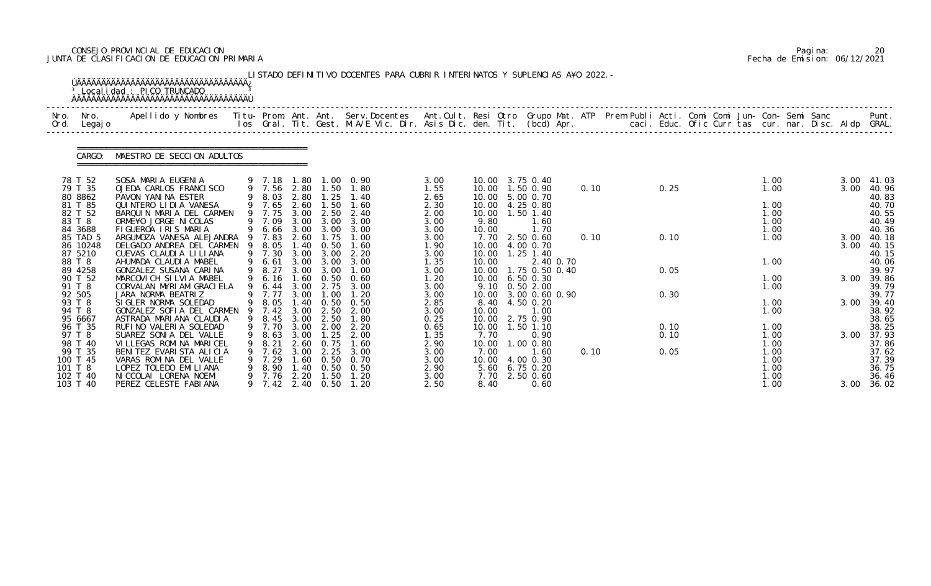### CONSEJO PROVINCIAL DE EDUCACION Pagina: 20 JUNTA DE CLASIFICACION DE EDUCACION PRIMARIA Fecha de Emision: 06/12/2021

|              |                                                                  | <sup>3</sup> Localidad : PICO TRUNCADO                                                                                                                      |     |                                                     |                                     |                                                   | LISTADO DEFINITIVO DOCENTES PARA CUBRIR INTERINATOS Y SUPLENCIAS A¥O 2022. -                                                   |                                              |                                        |                                                                                                 |      |                      |  |                                              |  |              |                                                    |
|--------------|------------------------------------------------------------------|-------------------------------------------------------------------------------------------------------------------------------------------------------------|-----|-----------------------------------------------------|-------------------------------------|---------------------------------------------------|--------------------------------------------------------------------------------------------------------------------------------|----------------------------------------------|----------------------------------------|-------------------------------------------------------------------------------------------------|------|----------------------|--|----------------------------------------------|--|--------------|----------------------------------------------------|
| Nro.<br>Ord. | Nro.<br>Legaj o                                                  | Apellido y Nombres - Titu- Prom. Ant. Ant. Serv.Docentes - Ant.Cult. Resi Otro Grupo Mat. ATP - Prem Publi Acti. Comi Comi Jun- Con- Semi Sanc              |     |                                                     |                                     |                                                   | los Gral. Tit. Gest. M.A/E Vic. Dir. Asis Dic. den. Tit. (bcd) Apr.       caci. Educ. Ofic Curr tas cur. nar. Disc. Aldp GRAL. |                                              |                                        |                                                                                                 |      |                      |  |                                              |  |              | Punt.                                              |
|              | CARGO:                                                           | MAESTRO DE SECCION ADULTOS                                                                                                                                  |     |                                                     |                                     |                                                   |                                                                                                                                |                                              |                                        |                                                                                                 |      |                      |  |                                              |  |              |                                                    |
|              | 78 T 52<br>79 T 35<br>80 8862<br>81 T 85<br>82 T 52              | SOSA MARIA EUGENIA<br>OJEDA CARLOS FRANCISCO<br>PAVON YANINA ESTER<br>QUINTERO LIDIA VANESA<br>BARQUIN MARIA DEL CARMEN                                     |     | 9 7.18<br>9 7.56 2.80<br>9 8.03<br>9 7.65<br>9 7.75 | 1.80<br>2.80<br>2.60<br>3.00        | 1.50<br>1.25<br>1.50<br>2.50                      | $1.00 \quad 0.90$<br>1.80<br>1.40<br>1.60<br>2.40                                                                              | 3.00<br>1.55<br>2.65<br>2.30<br>2.00         |                                        | 10.00 3.75 0.40<br>10.00  1.50  0.90<br>10.00 5.00 0.70<br>10.00 4.25 0.80<br>10.00  1.50  1.40 | 0.10 | 0.25                 |  | 1.00<br>1.00<br>1.00<br>1.00                 |  | 3.00         | $3.00$ 41.03<br>40.96<br>40.83<br>40.70<br>40.55   |
|              | 83 T 8<br>84 3688<br>85 TAD 5<br>86 10248<br>87 5210             | ORME¥O JORGE NI COLAS<br>FIGUEROA IRIS MARIA<br>ARGUMOZA VANESA ALEJANDRA 9 7.83<br>DELGADO ANDREA DEL CARMEN<br>CUEVAS CLAUDIA LILIANA                     | - 9 | 9 7.09<br>8.05<br>9 7.30                            | 3.00<br>2.60<br>1.40<br>3.00        | 3.00<br>6.66 3.00 3.00<br>1.75<br>0.50<br>3.00    | 3.00<br>3.00<br>1.00<br>1.60<br>2.20                                                                                           | 3.00<br>3.00<br>3.00<br>1.90<br>3.00         | 9.80<br>10.00<br>10.00                 | 1.60<br>1.70<br>7.70 2.50 0.60<br>4.00 0.70<br>10.00  1.25  1.40                                | 0.10 | 0.10                 |  | 1.00<br>1.00<br>1.00                         |  | 3.00<br>3.00 | 40.49<br>40.36<br>40.18<br>40.15<br>40.15          |
|              | 88 T 8<br>89 4258<br>90 T 52<br>91 T 8                           | AHUMADA CLAUDIA MABEL<br>GONZALEZ SUSANA CARINA<br>MARCOVICH SILVIA MABEL<br>CORVALAN MYRIAM GRACIELA                                                       | 9   | 9 6.61<br>9 8.27<br>9 6.16<br>6.44                  | 3.00<br>3.00<br>3.00                | 3.00<br>3.00<br>$1.60 \quad 0.50$<br>2.75         | 3.00<br>1.00<br>0.60<br>3.00                                                                                                   | 1.35<br>3.00<br>1.20<br>3.00                 | 10.00                                  | 2.40 0.70<br>10.00  1.75  0.50  0.40<br>10.00 6.50 0.30<br>9.10 0.50 2.00                       |      | 0.05                 |  | 1.00<br>1.00<br>1.00                         |  | 3.00         | 40.06<br>39.97<br>39.86<br>39.79                   |
|              | 92 505<br>93 T 8<br>94 T 8<br>95 6667                            | JARA NORMA BEATRIZ<br>SIGLER NORMA SOLEDAD<br>GONZALEZ SOFIA DEL CARMEN<br>ASTRADA MARIANA CLAUDIA                                                          |     | 9 7.77<br>9 8.05<br>9 7.42<br>9 8.45 3.00           | 3.00<br>3.00                        | 1.00<br>1.40 0.50<br>2.50<br>2.50                 | 1.20<br>0. 50<br>2.00<br>1.80                                                                                                  | 3.00<br>2.85<br>3.00<br>0.25                 | 10.00                                  | 10.00 3.00 0.60 0.90<br>8.40 4.50 0.20<br>1.00<br>10.00 2.75 0.90                               |      | 0.30                 |  | 1.00<br>1.00                                 |  | 3.00         | 39.77<br>39.40<br>38.92<br>38.65                   |
|              | 96 T 35<br>97 T 8<br>98 T 40<br>99 T 35<br>100 T 45<br>101 T $8$ | RUFINO VALERIA SOLEDAD<br>SUAREZ SONIA DEL VALLE<br>VILLEGAS ROMINA MARICEL<br>BENITEZ EVARISTA ALICIA<br>VARAS ROMINA DEL VALLE<br>LOPEZ TOLEDO EMI LI ANA |     | 9 7.70<br>8.63<br>8.21<br>7.62<br>7.29<br>8.90      | 3.00<br>2.60<br>3.00<br>.60<br>. 40 | 3.00 2.00<br>1.25<br>0.75<br>2.25<br>0.50<br>0.50 | 2.20<br>2.00<br>1.60<br>3.00<br>0.70<br>0.50                                                                                   | 0.65<br>1.35<br>2.90<br>3.00<br>3.00<br>2.90 | 7.70<br>10.00<br>7.00<br>10.00<br>5.60 | 10.00  1.50  1.10<br>0.90<br>1.00 0.80<br>1.60<br>4.00 0.30<br>$6.75$ 0.20                      | 0.10 | 0.10<br>0.10<br>0.05 |  | 1.00<br>1.00<br>1.00<br>1.00<br>1.00<br>1.00 |  | 3.00         | 38.25<br>37.93<br>37.86<br>37.62<br>37.39<br>36.75 |
|              | 102 T 40<br>103 T 40                                             | NI CCOLAI LORENA NOEMI<br>PEREZ CELESTE FABIANA                                                                                                             |     | 7.76<br>9 7.42                                      | 2.20                                | 1.50<br>2.40 0.50                                 | 1.20<br>1.20                                                                                                                   | 3.00<br>2.50                                 | 7.70<br>8.40                           | 2.50 0.60<br>0.60                                                                               |      |                      |  | 1.00<br>1.00                                 |  | 3.00         | 36.46<br>36.02                                     |

|  | Pagi na: | 20                           |
|--|----------|------------------------------|
|  |          | Fecha de Emision: 06/12/2021 |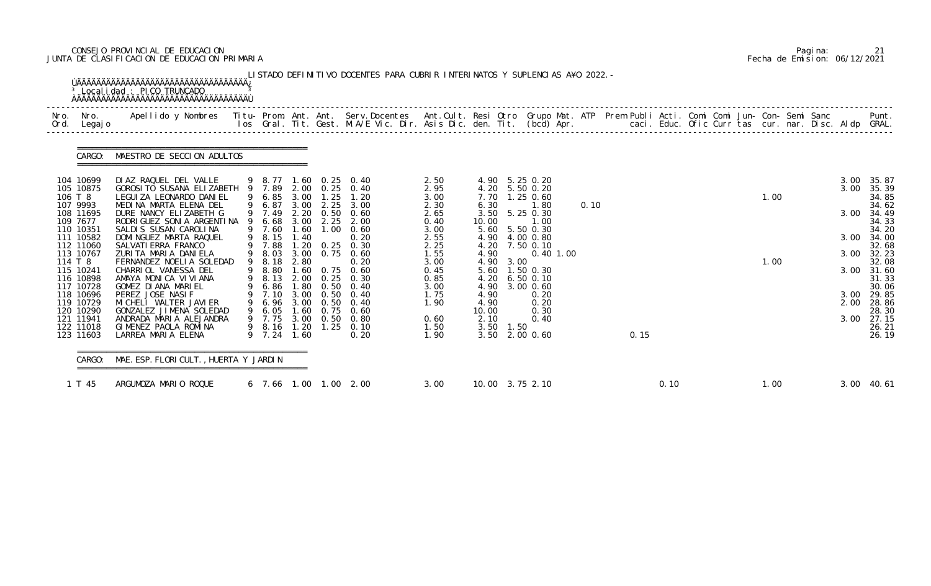### CONSEJO PROVINCIAL DE EDUCACION Pagina: 21 JUNTA DE CLASIFICACION DE EDUCACION PRIMARIA Fecha de Emision: 06/12/2021

| Nro.<br>Ord. | Nro.<br>Legaj o                                  | Apellido y Nombres - Titu- Prom. Ant. Ant. Serv.Docentes - Ant.Cult. Resi Otro Grupo Mat. ATP Prem Publi Acti. Comi Comi Jun- Con- Semi Sanc - - - - Punt.<br>Ios Gral. Tit. Gest. M.A/E Vic. Dir. Asis Dic. den. Tit. (bcd) Apr. |                                      |                              |                       |                                                 |                              |                               |           |                                             |      |      |      |  |      |  |                      |                                  |
|--------------|--------------------------------------------------|-----------------------------------------------------------------------------------------------------------------------------------------------------------------------------------------------------------------------------------|--------------------------------------|------------------------------|-----------------------|-------------------------------------------------|------------------------------|-------------------------------|-----------|---------------------------------------------|------|------|------|--|------|--|----------------------|----------------------------------|
|              | CARGO:                                           | MAESTRO DE SECCION ADULTOS                                                                                                                                                                                                        |                                      |                              |                       |                                                 |                              |                               |           |                                             |      |      |      |  |      |  |                      |                                  |
| 106 T 8      | 104 10699<br>105 10875                           | DIAZ RAQUEL DEL VALLE<br>GOROSI TO SUSANA ELIZABETH 9 7.89<br>LEGUI ZA LEONARDO DANI EL                                                                                                                                           | 9 6.85                               | 3.00                         | 1.25                  | 9 8.77 1.60 0.25 0.40<br>2.00 0.25 0.40<br>1.20 | 2.50<br>2.95<br>3.00         | 4.20<br>7.70                  |           | 4.90 5.25 0.20<br>5.50 0.20<br>1.25 0.60    |      |      |      |  | 1.00 |  | 3.00<br>3.00         | 35.87<br>35.39<br>34.85          |
|              | 107 9993<br>108 11695<br>109 7677<br>110 10351   | MEDINA MARTA ELENA DEL<br>DURE NANCY ELIZABETH G<br>RODRI GUEZ SONI A ARGENTI NA<br>SALDIS SUSAN CAROLINA                                                                                                                         | 9 6.87<br>9 7.49<br>6.68<br>9 7.60   | 3.00<br>3.00<br>1.60         | 2.25<br>2.25<br>1.00  | 3.00<br>2.20 0.50 0.60<br>2.00<br>0.60          | 2.30<br>2.65<br>0.40<br>3.00 | 6.30<br>3.50<br>10.00         |           | 1.80<br>5.25 0.30<br>1.00<br>5.60 5.50 0.30 | 0.10 |      |      |  |      |  | 3.00                 | 34.62<br>34.49<br>34.33<br>34.20 |
| 114 T 8      | 111 10582<br>112 11060<br>113 10767              | DOMINGUEZ MARTA RAQUEL<br>SALVATI ERRA FRANCO<br>ZURITA MARIA DANIELA<br>FERNANDEZ NOELIA SOLEDAD                                                                                                                                 | 9 8.15<br>9 7.88<br>9 8.03<br>9 8.18 | 1.40<br>1.20<br>3.00<br>2.80 | 0.25                  | 0.20<br>0.30<br>$0.75$ 0.60<br>0.20             | 2.55<br>2.25<br>1.55<br>3.00 | 4.20<br>4.90<br>4.90          | 3.00      | 4.90 4.00 0.80<br>7.50 0.10<br>$0.40$ 1.00  |      |      |      |  | 1.00 |  | 3.00<br>3.00         | 34.00<br>32.68<br>32.23<br>32.08 |
|              | 115 10241<br>116 10898<br>117 10728              | CHARRIOL VANESSA DEL<br>AMAYA MONICA VIVIANA<br>GOMEZ DIANA MARIEL                                                                                                                                                                | 9 8.80<br>9 8.13<br>9 6.86           | 1.60<br>2.00                 | 0.75<br>0.25          | 0.60<br>0.30<br>1.80 0.50 0.40                  | 0.45<br>0.85<br>3.00         | 5.60<br>4.20<br>4.90          |           | 1.50 0.30<br>$6.50$ $0.10$<br>3.00 0.60     |      |      |      |  |      |  | 3.00                 | 31.60<br>31.33<br>30.06          |
|              | 118 10696<br>119 10729<br>120 10290<br>121 11941 | PEREZ JOSE NASIF<br>MI CHELI WALTER JAVI ER<br>GONZALEZ JIMENA SOLEDAD<br>ANDRADA MARIA ALEJANDRA                                                                                                                                 | 9 7.10<br>9 6.96<br>9 6.05<br>9 7.75 | 3.00<br>3.00<br>3.00         | 0. 50<br>0.50<br>0.50 | 0.40<br>0.40<br>1.60 0.75 0.60<br>0.80          | 1.75<br>1.90<br>0.60         | 4.90<br>4.90<br>10.00<br>2.10 |           | 0.20<br>0.20<br>0.30<br>0.40                |      |      |      |  |      |  | 3.00<br>2.00<br>3.00 | 29.85<br>28.86<br>28.30<br>27.15 |
|              | 122 11018<br>123 11603                           | GIMENEZ PAOLA ROMINA<br>LARREA MARIA ELENA                                                                                                                                                                                        | 9 8.16<br>9 7.24 1.60                | 1.20                         | 1.25                  | 0.10<br>0.20                                    | 1.50<br>1.90                 |                               | 3.50 1.50 | 3.50 2.00 0.60                              |      | 0.15 |      |  |      |  |                      | 26.21<br>26.19                   |
|              | CARGO:                                           | MAE. ESP. FLORI CULT., HUERTA Y JARDIN                                                                                                                                                                                            |                                      |                              |                       |                                                 |                              |                               |           |                                             |      |      |      |  |      |  |                      |                                  |
|              | 1 T 45                                           | ARGUMOZA MARIO ROQUE                                                                                                                                                                                                              |                                      |                              |                       | 6 7.66 1.00 1.00 2.00                           | 3.00                         |                               |           | 10.00 3.75 2.10                             |      |      | 0.10 |  | 1.00 |  |                      | 3.00 40.61                       |

|  | Pagi na: |                              |
|--|----------|------------------------------|
|  |          | Fecha de Emision: 06/12/2021 |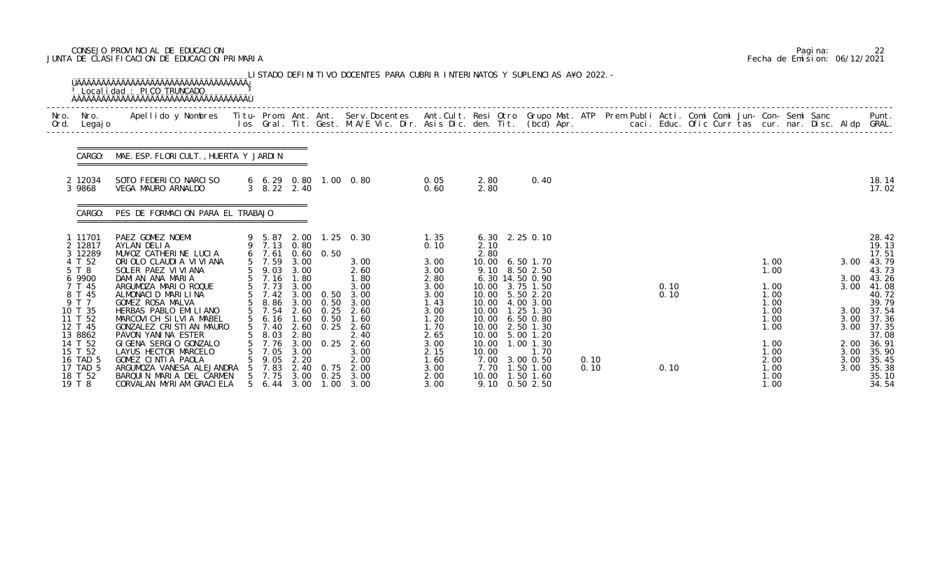### CONSEJO PROVINCIAL DE EDUCACION Pagina: 22 JUNTA DE CLASIFICACION DE EDUCACION PRIMARIA Fecha de Emision: 06/12/2021

|              |                                                                  | <sup>3</sup> Local i dad : PICO TRUNCADO                                                                                                                                                                                        |                                                                                              |                                              |                      | LISTADO DEFINITIVO DOCENTES PARA CUBRIR INTERINATOS Y SUPLENCIAS A¥O 2022. - |                                              |                                                  |                                                                       |              |  |              |  |                                      |  |                              |                                                    |
|--------------|------------------------------------------------------------------|---------------------------------------------------------------------------------------------------------------------------------------------------------------------------------------------------------------------------------|----------------------------------------------------------------------------------------------|----------------------------------------------|----------------------|------------------------------------------------------------------------------|----------------------------------------------|--------------------------------------------------|-----------------------------------------------------------------------|--------------|--|--------------|--|--------------------------------------|--|------------------------------|----------------------------------------------------|
| Nro.<br>Ord. | Nro.<br>Legaj o                                                  | Apellido y Nombres  Titu- Prom. Ant. Ant. Serv.Docentes  Ant.Cult. Resi Otro Grupo Mat. ATP Prem Publi Acti. Comi Comi Jun- Con- Semi Sanc         Punt.<br>Ios Gral. Tit. Gest. M.A/E Vic. Dir. Asis Dic. den. Tit. (bcd) Apr. |                                                                                              |                                              |                      |                                                                              |                                              |                                                  |                                                                       |              |  |              |  |                                      |  |                              |                                                    |
|              |                                                                  | CARGO: MAE. ESP. FLORI CULT., HUERTA Y JARDIN                                                                                                                                                                                   |                                                                                              |                                              |                      |                                                                              |                                              |                                                  |                                                                       |              |  |              |  |                                      |  |                              |                                                    |
|              | 2 12034<br>3 9868                                                | SOTO FEDERICO NARCISO<br>VEGA MAURO ARNALDO                                                                                                                                                                                     | 3 8.22 2.40                                                                                  |                                              |                      | $6\quad 6.29\quad 0.80\quad 1.00\quad 0.80$                                  | 0.05<br>0.60                                 | 2.80<br>2.80                                     | 0.40                                                                  |              |  |              |  |                                      |  |                              | 18. 14<br>17.02                                    |
|              | CARGO:                                                           | PES DE FORMACION PARA EL TRABAJO                                                                                                                                                                                                |                                                                                              |                                              |                      |                                                                              |                                              |                                                  |                                                                       |              |  |              |  |                                      |  |                              |                                                    |
|              | 1 11701<br>2 12817<br>3 12289                                    | PAEZ GOMEZ NOEMI<br>AYLAN DELIA<br>MU¥OZ CATHERINE LUCIA                                                                                                                                                                        | 9 7.13 0.80<br>6, 7.61                                                                       |                                              | $0.60 \quad 0.50$    | 9 5.87 2.00 1.25 0.30                                                        | 1.35<br>0.10                                 | 2.10<br>2.80                                     | 6.30 2.25 0.10                                                        |              |  |              |  |                                      |  |                              | 28.42<br>19.13<br>17.51                            |
|              | 4 T 52<br>5 T 8<br>6 9900                                        | ORIOLO CLAUDIA VIVIANA<br>SOLER PAEZ VI VI ANA<br>DAMIAN ANA MARIA                                                                                                                                                              | 5 7.59<br>$\begin{array}{cc} 5 & 9.03 \\ 5 & 7.16 \end{array}$                               | 3.00<br>3.00<br>1.80                         |                      | 3.00<br>2.60<br>1.80                                                         | 3.00<br>3.00<br>2.80                         | 10.00<br>9.10                                    | 6.50 1.70<br>8.50 2.50<br>6.30 14.50 0.90                             |              |  |              |  | 1.00<br>1.00                         |  | 3.00<br>3.00                 | 43.79<br>43.73<br>43.26                            |
|              | 7 T 45<br>8 T 45                                                 | ARGUMOZA MARIO ROQUE<br>ALMONACID MARILINA                                                                                                                                                                                      | 5 7.73 3.00<br>$5 \quad 7.42$                                                                | 3.00                                         | 0.50                 | 3.00<br>3.00                                                                 | 3.00<br>3.00                                 | 10.00                                            | 10.00 3.75 1.50<br>5.50 2.20                                          |              |  | 0.10<br>0.10 |  | 1.00<br>1.00                         |  | 3.00                         | 41.08<br>40.72                                     |
|              | 9 T 7<br>10 T 35<br>11 T 52<br>12 T 45                           | GOMEZ ROSA MALVA<br>HERBAS PABLO EMILIANO<br>MARCOVICH SILVIA MABEL<br>GONZALEZ CRISTIAN MAURO                                                                                                                                  | 5 8.86 3.00 0.50<br>$\begin{array}{cc} 5 & 7.54 \\ 5 & 6.16 \end{array}$<br>5 7.40 2.60 0.25 | 1.60                                         | 2.60 0.25<br>0.50    | 3.00<br>2.60<br>1.60<br>2.60                                                 | 1.43<br>3.00<br>1.20<br>1.70                 | 10.00<br>10.00<br>10.00                          | 4.00 3.00<br>$1.25$ 1.30<br>6.50 0.80<br>10.00 2.50 1.30              |              |  |              |  | 1.00<br>1.00<br>1.00<br>1.00         |  | 3.00                         | 39.79<br>3.00 37.54<br>37.36<br>3.00 37.35         |
|              | 13 8862<br>14 T 52<br>15 T 52<br>16 TAD 5<br>17 TAD 5<br>18 T 52 | PAVON YANINA ESTER<br>GI GENA SERGIO GONZALO<br>LAYUS HECTOR MARCELO<br>GOMEZ CINTIA PAOLA<br>ARGUMOZA VANESA ALEJANDRA<br>BARQUIN MARIA DEL CARMEN                                                                             | 8.03<br>7.76<br>7.05<br>9.05<br>7.83<br>5 7.75                                               | 2.80<br>3.00<br>3.00<br>2.20<br>2.40<br>3.00 | 0.25<br>0.75<br>0.25 | 2.40<br>2.60<br>3.00<br>2.00<br>2.00<br>3.00                                 | 2.65<br>3.00<br>2.15<br>1.60<br>3.00<br>2.00 | 10.00<br>10.00<br>10.00<br>7.00<br>7.70<br>10.00 | 5.00 1.20<br>1.00 1.30<br>1.70<br>3.00 0.50<br>1.50 1.00<br>1.50 1.60 | 0.10<br>0.10 |  | 0.10         |  | 1.00<br>1.00<br>2.00<br>1.00<br>1.00 |  | 2.00<br>3.00<br>3.00<br>3.00 | 37.08<br>36.91<br>35.90<br>35.45<br>35.38<br>35.10 |
|              | 19 T 8                                                           | CORVALAN MYRIAM GRACIELA                                                                                                                                                                                                        | 5 6.44                                                                                       | 3.00                                         | 1.00                 | 3.00                                                                         | 3.00                                         |                                                  | 9.10 0.50 2.50                                                        |              |  |              |  | 1.00                                 |  |                              | 34.54                                              |

|  | Pagi na: | 22                           |
|--|----------|------------------------------|
|  |          | Fecha de Emision: 06/12/2021 |